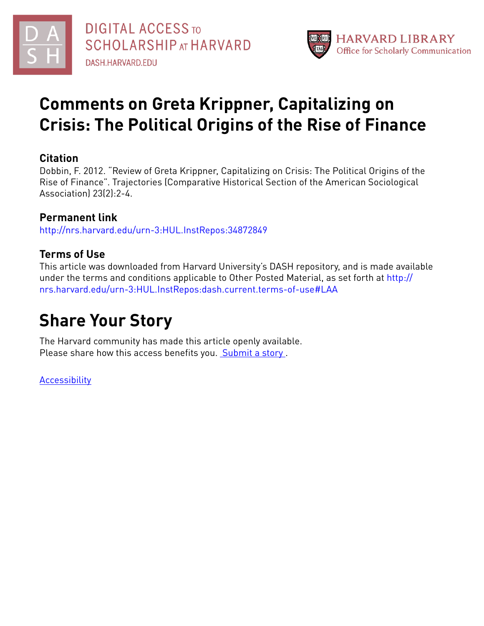



# **Comments on Greta Krippner, Capitalizing on Crisis: The Political Origins of the Rise of Finance**

# **Citation**

Dobbin, F. 2012. "Review of Greta Krippner, Capitalizing on Crisis: The Political Origins of the Rise of Finance". Trajectories (Comparative Historical Section of the American Sociological Association) 23(2):2-4.

# **Permanent link**

<http://nrs.harvard.edu/urn-3:HUL.InstRepos:34872849>

# **Terms of Use**

This article was downloaded from Harvard University's DASH repository, and is made available under the terms and conditions applicable to Other Posted Material, as set forth at [http://](http://nrs.harvard.edu/urn-3:HUL.InstRepos:dash.current.terms-of-use#LAA) [nrs.harvard.edu/urn-3:HUL.InstRepos:dash.current.terms-of-use#LAA](http://nrs.harvard.edu/urn-3:HUL.InstRepos:dash.current.terms-of-use#LAA)

# **Share Your Story**

The Harvard community has made this article openly available. Please share how this access benefits you. [Submit](http://osc.hul.harvard.edu/dash/open-access-feedback?handle=&title=Comments%20on%20Greta%20Krippner,%20Capitalizing%20on%20Crisis:%20The%20Political%20Origins%20of%20the%20Rise%20of%20Finance&community=1/1&collection=1/2&owningCollection1/2&harvardAuthors=e96331684e5cc1dda1559a1e1507c389&departmentSociology) a story

[Accessibility](https://dash.harvard.edu/pages/accessibility)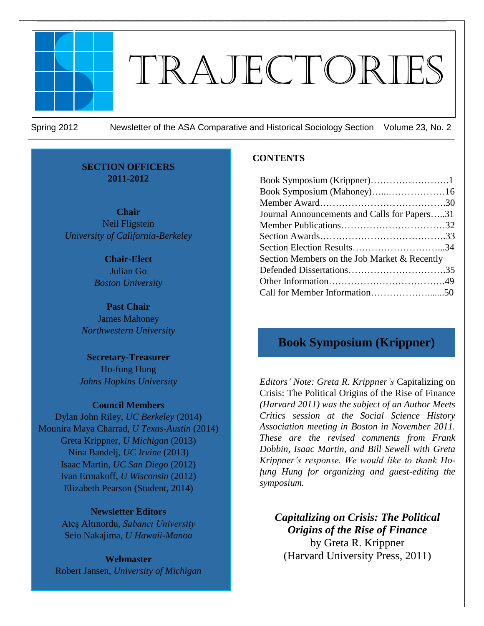

# Trajectories

 $\mathcal{L}_\text{max} = \mathcal{L}_\text{max} = \mathcal{L}_\text{max} = \mathcal{L}_\text{max} = \mathcal{L}_\text{max} = \mathcal{L}_\text{max} = \mathcal{L}_\text{max} = \mathcal{L}_\text{max} = \mathcal{L}_\text{max} = \mathcal{L}_\text{max} = \mathcal{L}_\text{max} = \mathcal{L}_\text{max} = \mathcal{L}_\text{max} = \mathcal{L}_\text{max} = \mathcal{L}_\text{max} = \mathcal{L}_\text{max} = \mathcal{L}_\text{max} = \mathcal{L}_\text{max} = \mathcal{$  $\equiv$ 

*\_\_\_\_\_\_\_\_\_\_\_\_\_\_\_\_\_\_\_\_\_\_\_\_\_\_\_\_\_\_\_\_\_\_\_\_\_\_\_\_\_\_\_\_\_\_\_\_\_\_\_\_\_\_\_\_\_\_\_\_\_\_\_\_\_\_\_\_\_\_\_\_\_\_\_\_\_\_\_\_\_\_\_\_\_\_\_\_\_\_\_\_\_\_\_\_\_\_\_\_\_\_\_\_\_\_\_*

Spring 2012 Newsletter of the ASA Comparative and Historical Sociology Section Volume 23, No. 2

#### **SECTION OFFICERS 2011-2012**

**Chair** Neil Fligstein *University of California-Berkeley*

> **Chair-Elect** Julian Go *Boston University*

**Past Chair** James Mahoney *Northwestern University*

**Secretary-Treasurer** Ho-fung Hung *Johns Hopkins University*

#### **Council Members**

Dylan John Riley, *UC Berkeley* (2014) Mounira Maya Charrad, *U Texas-Austin* (2014) Greta Krippner, *U Michigan* (2013) Nina Bandelj, *UC Irvine* (2013) Isaac Martin, *UC San Diego* (2012) Ivan Ermakoff, *U Wisconsin* (2012) Elizabeth Pearson (Student, 2014)

#### **Newsletter Editors**

Ateş Altınordu, *Sabancı University* Seio Nakajima, *U Hawaii-Manoa*

**Webmaster**  Robert Jansen, *University of Michigan*

#### **CONTENTS**

| Book Symposium (Krippner)1                   |  |
|----------------------------------------------|--|
| Book Symposium (Mahoney)16                   |  |
|                                              |  |
| Journal Announcements and Calls for Papers31 |  |
|                                              |  |
|                                              |  |
|                                              |  |
| Section Members on the Job Market & Recently |  |
|                                              |  |
|                                              |  |
|                                              |  |

# **Book Symposium (Krippner)**

*Editors' Note: Greta R. Krippner's* Capitalizing on Crisis: The Political Origins of the Rise of Finance *(Harvard 2011) was the subject of an Author Meets Critics session at the Social Science History Association meeting in Boston in November 2011. These are the revised comments from Frank Dobbin, Isaac Martin, and Bill Sewell with Greta Krippner's response. We would like to thank Hofung Hung for organizing and guest-editing the symposium.*

*Capitalizing on Crisis: The Political Origins of the Rise of Finance* by Greta R. Krippner (Harvard University Press, 2011)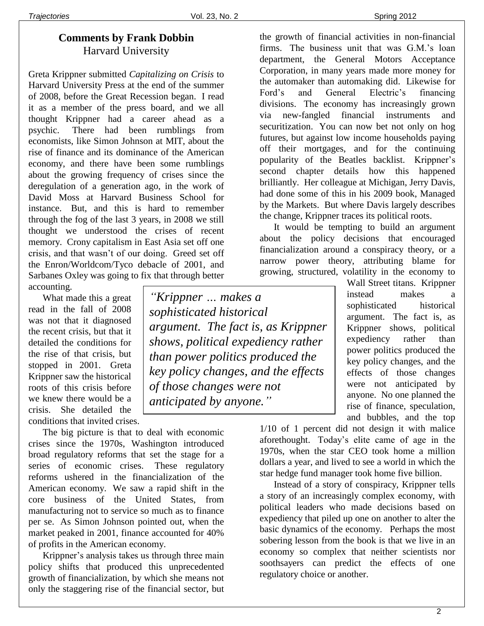# **Comments by Frank Dobbin** Harvard University

Greta Krippner submitted *Capitalizing on Crisis* to Harvard University Press at the end of the summer of 2008, before the Great Recession began. I read it as a member of the press board, and we all thought Krippner had a career ahead as a psychic. There had been rumblings from economists, like Simon Johnson at MIT, about the rise of finance and its dominance of the American economy, and there have been some rumblings about the growing frequency of crises since the deregulation of a generation ago, in the work of David Moss at Harvard Business School for instance. But, and this is hard to remember through the fog of the last 3 years, in 2008 we still thought we understood the crises of recent memory. Crony capitalism in East Asia set off one crisis, and that wasn't of our doing. Greed set off the Enron/Worldcom/Tyco debacle of 2001, and Sarbanes Oxley was going to fix that through better accounting.

What made this a great read in the fall of 2008 was not that it diagnosed the recent crisis, but that it detailed the conditions for the rise of that crisis, but stopped in 2001. Greta Krippner saw the historical roots of this crisis before we knew there would be a crisis. She detailed the conditions that invited crises.

The big picture is that to deal with economic crises since the 1970s, Washington introduced broad regulatory reforms that set the stage for a series of economic crises. These regulatory reforms ushered in the financialization of the American economy. We saw a rapid shift in the core business of the United States, from manufacturing not to service so much as to finance per se. As Simon Johnson pointed out, when the market peaked in 2001, finance accounted for 40% of profits in the American economy.

Krippner's analysis takes us through three main policy shifts that produced this unprecedented growth of financialization, by which she means not only the staggering rise of the financial sector, but

*"Krippner … makes a sophisticated historical argument. The fact is, as Krippner shows, political expediency rather than power politics produced the key policy changes, and the effects of those changes were not anticipated by anyone."*

the growth of financial activities in non-financial firms. The business unit that was G.M.'s loan department, the General Motors Acceptance Corporation, in many years made more money for the automaker than automaking did. Likewise for Ford's and General Electric's financing divisions. The economy has increasingly grown via new-fangled financial instruments and securitization. You can now bet not only on hog futures, but against low income households paying off their mortgages, and for the continuing popularity of the Beatles backlist. Krippner's second chapter details how this happened brilliantly. Her colleague at Michigan, Jerry Davis, had done some of this in his 2009 book, Managed by the Markets. But where Davis largely describes the change, Krippner traces its political roots.

It would be tempting to build an argument about the policy decisions that encouraged financialization around a conspiracy theory, or a narrow power theory, attributing blame for growing, structured, volatility in the economy to

> Wall Street titans. Krippner instead makes a sophisticated historical argument. The fact is, as Krippner shows, political expediency rather than power politics produced the key policy changes, and the effects of those changes were not anticipated by anyone. No one planned the rise of finance, speculation, and bubbles, and the top

1/10 of 1 percent did not design it with malice aforethought. Today's elite came of age in the 1970s, when the star CEO took home a million dollars a year, and lived to see a world in which the star hedge fund manager took home five billion.

Instead of a story of conspiracy, Krippner tells a story of an increasingly complex economy, with political leaders who made decisions based on expediency that piled up one on another to alter the basic dynamics of the economy. Perhaps the most sobering lesson from the book is that we live in an economy so complex that neither scientists nor soothsayers can predict the effects of one regulatory choice or another.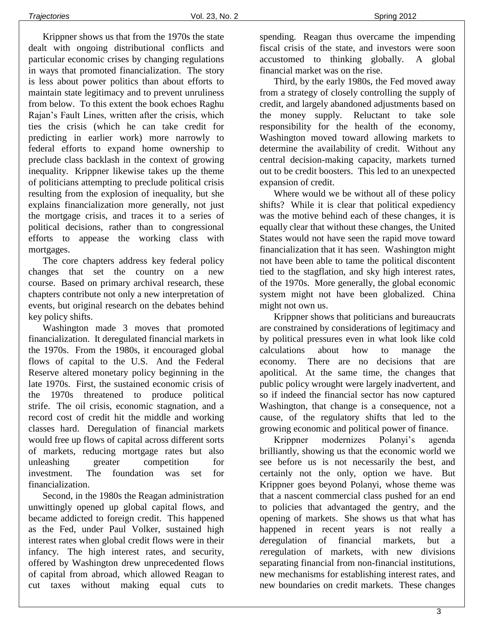Krippner shows us that from the 1970s the state dealt with ongoing distributional conflicts and particular economic crises by changing regulations in ways that promoted financialization. The story is less about power politics than about efforts to maintain state legitimacy and to prevent unruliness from below. To this extent the book echoes Raghu Rajan's Fault Lines, written after the crisis, which ties the crisis (which he can take credit for predicting in earlier work) more narrowly to federal efforts to expand home ownership to preclude class backlash in the context of growing inequality. Krippner likewise takes up the theme of politicians attempting to preclude political crisis resulting from the explosion of inequality, but she explains financialization more generally, not just the mortgage crisis, and traces it to a series of political decisions, rather than to congressional efforts to appease the working class with mortgages.

The core chapters address key federal policy changes that set the country on a new course. Based on primary archival research, these chapters contribute not only a new interpretation of events, but original research on the debates behind key policy shifts.

Washington made 3 moves that promoted financialization. It deregulated financial markets in the 1970s. From the 1980s, it encouraged global flows of capital to the U.S. And the Federal Reserve altered monetary policy beginning in the late 1970s. First, the sustained economic crisis of the 1970s threatened to produce political strife. The oil crisis, economic stagnation, and a record cost of credit hit the middle and working classes hard. Deregulation of financial markets would free up flows of capital across different sorts of markets, reducing mortgage rates but also unleashing greater competition for investment. The foundation was set for financialization.

Second, in the 1980s the Reagan administration unwittingly opened up global capital flows, and became addicted to foreign credit. This happened as the Fed, under Paul Volker, sustained high interest rates when global credit flows were in their infancy. The high interest rates, and security, offered by Washington drew unprecedented flows of capital from abroad, which allowed Reagan to cut taxes without making equal cuts to spending. Reagan thus overcame the impending fiscal crisis of the state, and investors were soon accustomed to thinking globally. A global financial market was on the rise.

Third, by the early 1980s, the Fed moved away from a strategy of closely controlling the supply of credit, and largely abandoned adjustments based on the money supply. Reluctant to take sole responsibility for the health of the economy, Washington moved toward allowing markets to determine the availability of credit. Without any central decision-making capacity, markets turned out to be credit boosters. This led to an unexpected expansion of credit.

Where would we be without all of these policy shifts? While it is clear that political expediency was the motive behind each of these changes, it is equally clear that without these changes, the United States would not have seen the rapid move toward financialization that it has seen. Washington might not have been able to tame the political discontent tied to the stagflation, and sky high interest rates, of the 1970s. More generally, the global economic system might not have been globalized. China might not own us.

Krippner shows that politicians and bureaucrats are constrained by considerations of legitimacy and by political pressures even in what look like cold calculations about how to manage the economy. There are no decisions that are apolitical. At the same time, the changes that public policy wrought were largely inadvertent, and so if indeed the financial sector has now captured Washington, that change is a consequence, not a cause, of the regulatory shifts that led to the growing economic and political power of finance.

Krippner modernizes Polanyi's agenda brilliantly, showing us that the economic world we see before us is not necessarily the best, and certainly not the only, option we have. But Krippner goes beyond Polanyi, whose theme was that a nascent commercial class pushed for an end to policies that advantaged the gentry, and the opening of markets. She shows us that what has happened in recent years is not really a *de*regulation of financial markets, but a *re*regulation of markets, with new divisions separating financial from non-financial institutions, new mechanisms for establishing interest rates, and new boundaries on credit markets. These changes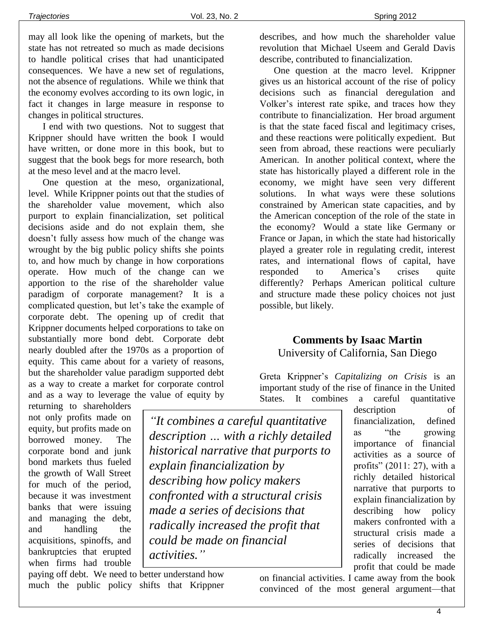may all look like the opening of markets, but the state has not retreated so much as made decisions to handle political crises that had unanticipated consequences. We have a new set of regulations, not the absence of regulations. While we think that the economy evolves according to its own logic, in fact it changes in large measure in response to changes in political structures.

I end with two questions. Not to suggest that Krippner should have written the book I would have written, or done more in this book, but to suggest that the book begs for more research, both at the meso level and at the macro level.

One question at the meso, organizational, level. While Krippner points out that the studies of the shareholder value movement, which also purport to explain financialization, set political decisions aside and do not explain them, she doesn't fully assess how much of the change was wrought by the big public policy shifts she points to, and how much by change in how corporations operate. How much of the change can we apportion to the rise of the shareholder value paradigm of corporate management? It is a complicated question, but let's take the example of corporate debt. The opening up of credit that Krippner documents helped corporations to take on substantially more bond debt. Corporate debt nearly doubled after the 1970s as a proportion of equity. This came about for a variety of reasons, but the shareholder value paradigm supported debt as a way to create a market for corporate control and as a way to leverage the value of equity by

returning to shareholders not only profits made on equity, but profits made on borrowed money. The corporate bond and junk bond markets thus fueled the growth of Wall Street for much of the period, because it was investment banks that were issuing and managing the debt, and handling the acquisitions, spinoffs, and bankruptcies that erupted when firms had trouble

*"It combines a careful quantitative description … with a richly detailed historical narrative that purports to explain financialization by describing how policy makers confronted with a structural crisis made a series of decisions that radically increased the profit that could be made on financial activities."*

paying off debt. We need to better understand how much the public policy shifts that Krippner describes, and how much the shareholder value revolution that Michael Useem and Gerald Davis describe, contributed to financialization.

One question at the macro level. Krippner gives us an historical account of the rise of policy decisions such as financial deregulation and Volker's interest rate spike, and traces how they contribute to financialization. Her broad argument is that the state faced fiscal and legitimacy crises, and these reactions were politically expedient. But seen from abroad, these reactions were peculiarly American. In another political context, where the state has historically played a different role in the economy, we might have seen very different solutions. In what ways were these solutions constrained by American state capacities, and by the American conception of the role of the state in the economy? Would a state like Germany or France or Japan, in which the state had historically played a greater role in regulating credit, interest rates, and international flows of capital, have responded to America's crises quite differently? Perhaps American political culture and structure made these policy choices not just possible, but likely.

# **Comments by Isaac Martin** University of California, San Diego

Greta Krippner's *Capitalizing on Crisis* is an important study of the rise of finance in the United States. It combines a careful quantitative

> description of financialization, defined as "the growing importance of financial activities as a source of profits" (2011: 27), with a richly detailed historical narrative that purports to explain financialization by describing how policy makers confronted with a structural crisis made a series of decisions that radically increased the profit that could be made

on financial activities. I came away from the book convinced of the most general argument—that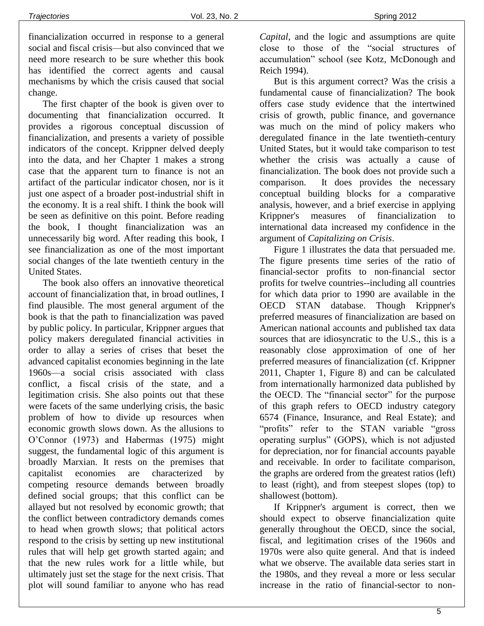financialization occurred in response to a general social and fiscal crisis—but also convinced that we need more research to be sure whether this book has identified the correct agents and causal mechanisms by which the crisis caused that social change.

The first chapter of the book is given over to documenting that financialization occurred. It provides a rigorous conceptual discussion of financialization, and presents a variety of possible indicators of the concept. Krippner delved deeply into the data, and her Chapter 1 makes a strong case that the apparent turn to finance is not an artifact of the particular indicator chosen, nor is it just one aspect of a broader post-industrial shift in the economy. It is a real shift. I think the book will be seen as definitive on this point. Before reading the book, I thought financialization was an unnecessarily big word. After reading this book, I see financialization as one of the most important social changes of the late twentieth century in the United States.

The book also offers an innovative theoretical account of financialization that, in broad outlines, I find plausible. The most general argument of the book is that the path to financialization was paved by public policy. In particular, Krippner argues that policy makers deregulated financial activities in order to allay a series of crises that beset the advanced capitalist economies beginning in the late 1960s—a social crisis associated with class conflict, a fiscal crisis of the state, and a legitimation crisis. She also points out that these were facets of the same underlying crisis, the basic problem of how to divide up resources when economic growth slows down. As the allusions to O'Connor (1973) and Habermas (1975) might suggest, the fundamental logic of this argument is broadly Marxian. It rests on the premises that capitalist economies are characterized by competing resource demands between broadly defined social groups; that this conflict can be allayed but not resolved by economic growth; that the conflict between contradictory demands comes to head when growth slows; that political actors respond to the crisis by setting up new institutional rules that will help get growth started again; and that the new rules work for a little while, but ultimately just set the stage for the next crisis. That plot will sound familiar to anyone who has read

*Capital*, and the logic and assumptions are quite close to those of the "social structures of accumulation" school (see Kotz, McDonough and Reich 1994).

But is this argument correct? Was the crisis a fundamental cause of financialization? The book offers case study evidence that the intertwined crisis of growth, public finance, and governance was much on the mind of policy makers who deregulated finance in the late twentieth-century United States, but it would take comparison to test whether the crisis was actually a cause of financialization. The book does not provide such a comparison. It does provides the necessary conceptual building blocks for a comparative analysis, however, and a brief exercise in applying Krippner's measures of financialization to international data increased my confidence in the argument of *Capitalizing on Crisis*.

Figure 1 illustrates the data that persuaded me. The figure presents time series of the ratio of financial-sector profits to non-financial sector profits for twelve countries--including all countries for which data prior to 1990 are available in the OECD STAN database. Though Krippner's preferred measures of financialization are based on American national accounts and published tax data sources that are idiosyncratic to the U.S., this is a reasonably close approximation of one of her preferred measures of financialization (cf. Krippner 2011, Chapter 1, Figure 8) and can be calculated from internationally harmonized data published by the OECD. The "financial sector" for the purpose of this graph refers to OECD industry category 6574 (Finance, Insurance, and Real Estate); and "profits" refer to the STAN variable "gross operating surplus" (GOPS), which is not adjusted for depreciation, nor for financial accounts payable and receivable. In order to facilitate comparison, the graphs are ordered from the greatest ratios (left) to least (right), and from steepest slopes (top) to shallowest (bottom).

If Krippner's argument is correct, then we should expect to observe financialization quite generally throughout the OECD, since the social, fiscal, and legitimation crises of the 1960s and 1970s were also quite general. And that is indeed what we observe. The available data series start in the 1980s, and they reveal a more or less secular increase in the ratio of financial-sector to non-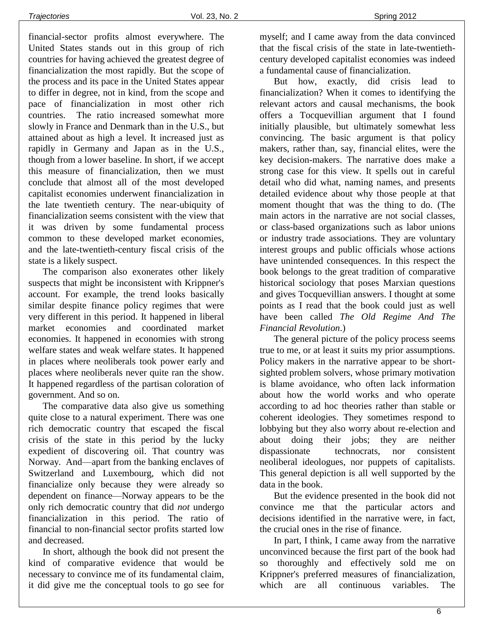financial-sector profits almost everywhere. The United States stands out in this group of rich countries for having achieved the greatest degree of financialization the most rapidly. But the scope of the process and its pace in the United States appear to differ in degree, not in kind, from the scope and pace of financialization in most other rich countries. The ratio increased somewhat more slowly in France and Denmark than in the U.S., but attained about as high a level. It increased just as rapidly in Germany and Japan as in the U.S., though from a lower baseline. In short, if we accept this measure of financialization, then we must conclude that almost all of the most developed capitalist economies underwent financialization in the late twentieth century. The near-ubiquity of financialization seems consistent with the view that it was driven by some fundamental process common to these developed market economies, and the late-twentieth-century fiscal crisis of the state is a likely suspect.

The comparison also exonerates other likely suspects that might be inconsistent with Krippner's account. For example, the trend looks basically similar despite finance policy regimes that were very different in this period. It happened in liberal market economies and coordinated market economies. It happened in economies with strong welfare states and weak welfare states. It happened in places where neoliberals took power early and places where neoliberals never quite ran the show. It happened regardless of the partisan coloration of government. And so on.

The comparative data also give us something quite close to a natural experiment. There was one rich democratic country that escaped the fiscal crisis of the state in this period by the lucky expedient of discovering oil. That country was Norway. And—apart from the banking enclaves of Switzerland and Luxembourg, which did not financialize only because they were already so dependent on finance—Norway appears to be the only rich democratic country that did *not* undergo financialization in this period. The ratio of financial to non-financial sector profits started low and decreased.

In short, although the book did not present the kind of comparative evidence that would be necessary to convince me of its fundamental claim, it did give me the conceptual tools to go see for myself; and I came away from the data convinced that the fiscal crisis of the state in late-twentiethcentury developed capitalist economies was indeed a fundamental cause of financialization.

But how, exactly, did crisis lead to financialization? When it comes to identifying the relevant actors and causal mechanisms, the book offers a Tocquevillian argument that I found initially plausible, but ultimately somewhat less convincing. The basic argument is that policy makers, rather than, say, financial elites, were the key decision-makers. The narrative does make a strong case for this view. It spells out in careful detail who did what, naming names, and presents detailed evidence about why those people at that moment thought that was the thing to do. (The main actors in the narrative are not social classes, or class-based organizations such as labor unions or industry trade associations. They are voluntary interest groups and public officials whose actions have unintended consequences. In this respect the book belongs to the great tradition of comparative historical sociology that poses Marxian questions and gives Tocquevillian answers. I thought at some points as I read that the book could just as well have been called *The Old Regime And The Financial Revolution*.)

The general picture of the policy process seems true to me, or at least it suits my prior assumptions. Policy makers in the narrative appear to be shortsighted problem solvers, whose primary motivation is blame avoidance, who often lack information about how the world works and who operate according to ad hoc theories rather than stable or coherent ideologies. They sometimes respond to lobbying but they also worry about re-election and about doing their jobs; they are neither dispassionate technocrats, nor consistent neoliberal ideologues, nor puppets of capitalists. This general depiction is all well supported by the data in the book.

But the evidence presented in the book did not convince me that the particular actors and decisions identified in the narrative were, in fact, the crucial ones in the rise of finance.

In part, I think, I came away from the narrative unconvinced because the first part of the book had so thoroughly and effectively sold me on Krippner's preferred measures of financialization, which are all continuous variables. The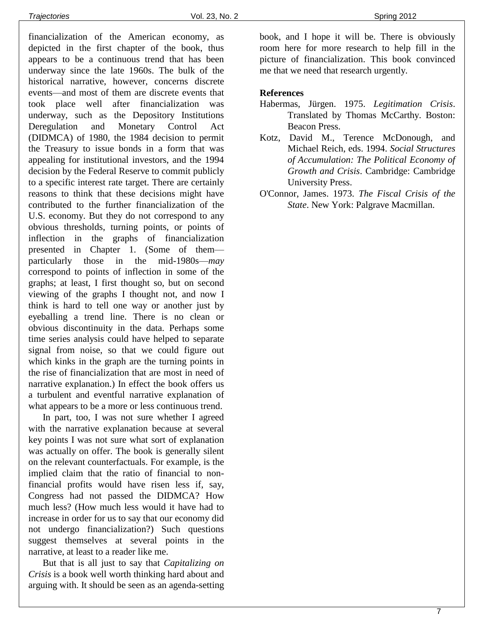financialization of the American economy, as depicted in the first chapter of the book, thus appears to be a continuous trend that has been underway since the late 1960s. The bulk of the historical narrative, however, concerns discrete events—and most of them are discrete events that took place well after financialization was underway, such as the Depository Institutions Deregulation and Monetary Control Act (DIDMCA) of 1980, the 1984 decision to permit the Treasury to issue bonds in a form that was appealing for institutional investors, and the 1994 decision by the Federal Reserve to commit publicly to a specific interest rate target. There are certainly reasons to think that these decisions might have contributed to the further financialization of the U.S. economy. But they do not correspond to any obvious thresholds, turning points, or points of inflection in the graphs of financialization presented in Chapter 1. (Some of them particularly those in the mid-1980s—*may* correspond to points of inflection in some of the graphs; at least, I first thought so, but on second viewing of the graphs I thought not, and now I think is hard to tell one way or another just by eyeballing a trend line. There is no clean or obvious discontinuity in the data. Perhaps some time series analysis could have helped to separate signal from noise, so that we could figure out which kinks in the graph are the turning points in the rise of financialization that are most in need of narrative explanation.) In effect the book offers us a turbulent and eventful narrative explanation of what appears to be a more or less continuous trend.

In part, too, I was not sure whether I agreed with the narrative explanation because at several key points I was not sure what sort of explanation was actually on offer. The book is generally silent on the relevant counterfactuals. For example, is the implied claim that the ratio of financial to nonfinancial profits would have risen less if, say, Congress had not passed the DIDMCA? How much less? (How much less would it have had to increase in order for us to say that our economy did not undergo financialization?) Such questions suggest themselves at several points in the narrative, at least to a reader like me.

But that is all just to say that *Capitalizing on Crisis* is a book well worth thinking hard about and arguing with. It should be seen as an agenda-setting book, and I hope it will be. There is obviously room here for more research to help fill in the picture of financialization. This book convinced me that we need that research urgently.

#### **References**

- Habermas, Jürgen. 1975. *Legitimation Crisis*. Translated by Thomas McCarthy. Boston: Beacon Press.
- Kotz, David M., Terence McDonough, and Michael Reich, eds. 1994. *Social Structures of Accumulation: The Political Economy of Growth and Crisis*. Cambridge: Cambridge University Press.
- O'Connor, James. 1973. *The Fiscal Crisis of the State*. New York: Palgrave Macmillan.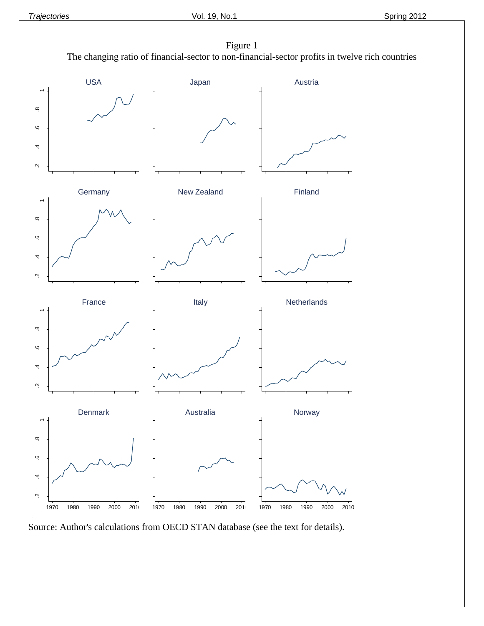

Source: Author's calculations from OECD STAN database (see the text for details).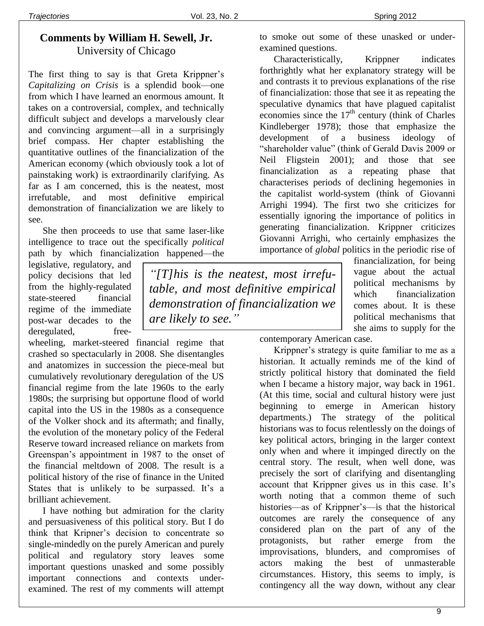*"[T]his is the neatest, most irrefutable, and most definitive empirical demonstration of financialization we* 

*are likely to see."*

# **Comments by William H. Sewell, Jr.** University of Chicago

The first thing to say is that Greta Krippner's *Capitalizing on Crisis* is a splendid book—one from which I have learned an enormous amount. It takes on a controversial, complex, and technically difficult subject and develops a marvelously clear and convincing argument—all in a surprisingly brief compass. Her chapter establishing the quantitative outlines of the financialization of the American economy (which obviously took a lot of painstaking work) is extraordinarily clarifying. As far as I am concerned, this is the neatest, most irrefutable, and most definitive empirical demonstration of financialization we are likely to see.

She then proceeds to use that same laser-like intelligence to trace out the specifically *political* path by which financialization happened—the

legislative, regulatory, and policy decisions that led from the highly-regulated state-steered financial regime of the immediate post-war decades to the deregulated, free-

wheeling, market-steered financial regime that crashed so spectacularly in 2008. She disentangles and anatomizes in succession the piece-meal but cumulatively revolutionary deregulation of the US financial regime from the late 1960s to the early 1980s; the surprising but opportune flood of world capital into the US in the 1980s as a consequence of the Volker shock and its aftermath; and finally, the evolution of the monetary policy of the Federal Reserve toward increased reliance on markets from Greenspan's appointment in 1987 to the onset of the financial meltdown of 2008. The result is a political history of the rise of finance in the United States that is unlikely to be surpassed. It's a brilliant achievement.

I have nothing but admiration for the clarity and persuasiveness of this political story. But I do think that Kripner's decision to concentrate so single-mindedly on the purely American and purely political and regulatory story leaves some important questions unasked and some possibly important connections and contexts underexamined. The rest of my comments will attempt to smoke out some of these unasked or underexamined questions.

Characteristically, Krippner indicates forthrightly what her explanatory strategy will be and contrasts it to previous explanations of the rise of financialization: those that see it as repeating the speculative dynamics that have plagued capitalist economies since the  $17<sup>th</sup>$  century (think of Charles Kindleberger 1978); those that emphasize the development of a business ideology of "shareholder value" (think of Gerald Davis 2009 or Neil Fligstein 2001); and those that see financialization as a repeating phase that characterises periods of declining hegemonies in the capitalist world-system (think of Giovanni Arrighi 1994). The first two she criticizes for essentially ignoring the importance of politics in generating financialization. Krippner criticizes Giovanni Arrighi, who certainly emphasizes the importance of *global* politics in the periodic rise of

> financialization, for being vague about the actual political mechanisms by which financialization comes about. It is these political mechanisms that she aims to supply for the

contemporary American case.

Krippner's strategy is quite familiar to me as a historian. It actually reminds me of the kind of strictly political history that dominated the field when I became a history major, way back in 1961. (At this time, social and cultural history were just beginning to emerge in American history departments.) The strategy of the political historians was to focus relentlessly on the doings of key political actors, bringing in the larger context only when and where it impinged directly on the central story. The result, when well done, was precisely the sort of clarifying and disentangling account that Krippner gives us in this case. It's worth noting that a common theme of such histories—as of Krippner's—is that the historical outcomes are rarely the consequence of any considered plan on the part of any of the protagonists, but rather emerge from the improvisations, blunders, and compromises of actors making the best of unmasterable circumstances. History, this seems to imply, is contingency all the way down, without any clear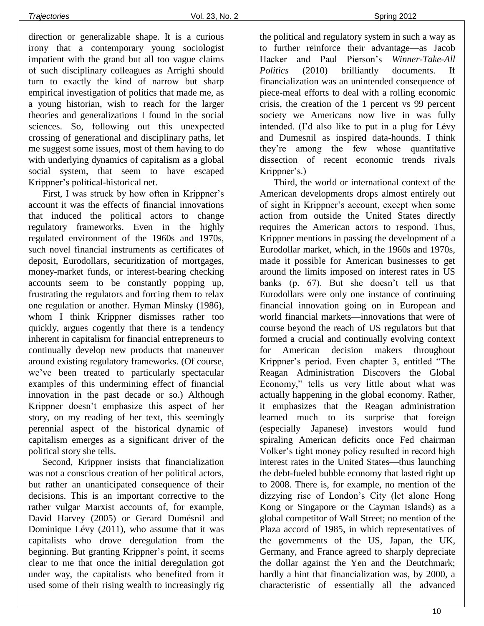direction or generalizable shape. It is a curious irony that a contemporary young sociologist impatient with the grand but all too vague claims of such disciplinary colleagues as Arrighi should turn to exactly the kind of narrow but sharp empirical investigation of politics that made me, as a young historian, wish to reach for the larger theories and generalizations I found in the social sciences. So, following out this unexpected crossing of generational and disciplinary paths, let me suggest some issues, most of them having to do with underlying dynamics of capitalism as a global social system, that seem to have escaped Krippner's political-historical net.

First, I was struck by how often in Krippner's account it was the effects of financial innovations that induced the political actors to change regulatory frameworks. Even in the highly regulated environment of the 1960s and 1970s, such novel financial instruments as certificates of deposit, Eurodollars, securitization of mortgages, money-market funds, or interest-bearing checking accounts seem to be constantly popping up, frustrating the regulators and forcing them to relax one regulation or another. Hyman Minsky (1986), whom I think Krippner dismisses rather too quickly, argues cogently that there is a tendency inherent in capitalism for financial entrepreneurs to continually develop new products that maneuver around existing regulatory frameworks. (Of course, we've been treated to particularly spectacular examples of this undermining effect of financial innovation in the past decade or so.) Although Krippner doesn't emphasize this aspect of her story, on my reading of her text, this seemingly perennial aspect of the historical dynamic of capitalism emerges as a significant driver of the political story she tells.

Second, Krippner insists that financialization was not a conscious creation of her political actors, but rather an unanticipated consequence of their decisions. This is an important corrective to the rather vulgar Marxist accounts of, for example, David Harvey (2005) or Gerard Dumésnil and Dominique Lévy (2011), who assume that it was capitalists who drove deregulation from the beginning. But granting Krippner's point, it seems clear to me that once the initial deregulation got under way, the capitalists who benefited from it used some of their rising wealth to increasingly rig

the political and regulatory system in such a way as to further reinforce their advantage—as Jacob Hacker and Paul Pierson's *Winner-Take-All Politics* (2010) brilliantly documents. If financialization was an unintended consequence of piece-meal efforts to deal with a rolling economic crisis, the creation of the 1 percent vs 99 percent society we Americans now live in was fully intended. (I'd also like to put in a plug for Lévy and Dumesnil as inspired data-hounds. I think they're among the few whose quantitative dissection of recent economic trends rivals Krippner's.)

Third, the world or international context of the American developments drops almost entirely out of sight in Krippner's account, except when some action from outside the United States directly requires the American actors to respond. Thus, Krippner mentions in passing the development of a Eurodollar market, which, in the 1960s and 1970s, made it possible for American businesses to get around the limits imposed on interest rates in US banks (p. 67). But she doesn't tell us that Eurodollars were only one instance of continuing financial innovation going on in European and world financial markets—innovations that were of course beyond the reach of US regulators but that formed a crucial and continually evolving context for American decision makers throughout Krippner's period. Even chapter 3, entitled "The Reagan Administration Discovers the Global Economy," tells us very little about what was actually happening in the global economy. Rather, it emphasizes that the Reagan administration learned—much to its surprise—that foreign (especially Japanese) investors would fund spiraling American deficits once Fed chairman Volker's tight money policy resulted in record high interest rates in the United States—thus launching the debt-fueled bubble economy that lasted right up to 2008. There is, for example, no mention of the dizzying rise of London's City (let alone Hong Kong or Singapore or the Cayman Islands) as a global competitor of Wall Street; no mention of the Plaza accord of 1985, in which representatives of the governments of the US, Japan, the UK, Germany, and France agreed to sharply depreciate the dollar against the Yen and the Deutchmark; hardly a hint that financialization was, by 2000, a characteristic of essentially all the advanced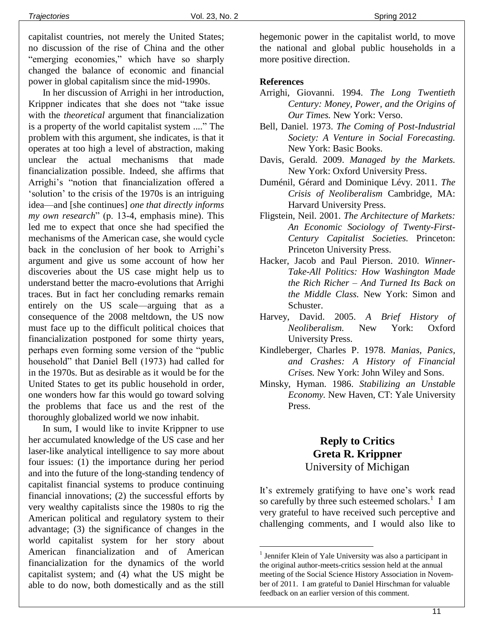capitalist countries, not merely the United States; no discussion of the rise of China and the other "emerging economies," which have so sharply changed the balance of economic and financial power in global capitalism since the mid-1990s.

In her discussion of Arrighi in her introduction, Krippner indicates that she does not "take issue with the *theoretical* argument that financialization is a property of the world capitalist system ...." The problem with this argument, she indicates, is that it operates at too high a level of abstraction, making unclear the actual mechanisms that made financialization possible. Indeed, she affirms that Arrighi's "notion that financialization offered a 'solution' to the crisis of the 1970s is an intriguing idea—and [she continues] *one that directly informs my own research*" (p. 13-4, emphasis mine). This led me to expect that once she had specified the mechanisms of the American case, she would cycle back in the conclusion of her book to Arrighi's argument and give us some account of how her discoveries about the US case might help us to understand better the macro-evolutions that Arrighi traces. But in fact her concluding remarks remain entirely on the US scale—arguing that as a consequence of the 2008 meltdown, the US now must face up to the difficult political choices that financialization postponed for some thirty years, perhaps even forming some version of the "public household" that Daniel Bell (1973) had called for in the 1970s. But as desirable as it would be for the United States to get its public household in order, one wonders how far this would go toward solving the problems that face us and the rest of the thoroughly globalized world we now inhabit.

In sum, I would like to invite Krippner to use her accumulated knowledge of the US case and her laser-like analytical intelligence to say more about four issues: (1) the importance during her period and into the future of the long-standing tendency of capitalist financial systems to produce continuing financial innovations; (2) the successful efforts by very wealthy capitalists since the 1980s to rig the American political and regulatory system to their advantage; (3) the significance of changes in the world capitalist system for her story about American financialization and of American financialization for the dynamics of the world capitalist system; and (4) what the US might be able to do now, both domestically and as the still hegemonic power in the capitalist world, to move the national and global public households in a more positive direction.

#### **References**

- Arrighi, Giovanni. 1994. *The Long Twentieth Century: Money, Power, and the Origins of Our Times.* New York: Verso.
- Bell, Daniel. 1973. *The Coming of Post-Industrial Society: A Venture in Social Forecasting.*  New York: Basic Books.
- Davis, Gerald. 2009. *Managed by the Markets.* New York: Oxford University Press.
- Duménil, Gérard and Dominique Lévy. 2011. *The Crisis of Neoliberalism* Cambridge, MA: Harvard University Press.
- Fligstein, Neil. 2001. *The Architecture of Markets: An Economic Sociology of Twenty-First-Century Capitalist Societies.* Princeton: Princeton University Press.
- Hacker, Jacob and Paul Pierson. 2010. *Winner-Take-All Politics: How Washington Made the Rich Richer – And Turned Its Back on the Middle Class.* New York: Simon and Schuster.
- Harvey, David. 2005. *A Brief History of Neoliberalism.* New York: Oxford University Press.
- Kindleberger, Charles P. 1978. *Manias, Panics, and Crashes: A History of Financial Crises.* New York: John Wiley and Sons.
- Minsky, Hyman. 1986. *Stabilizing an Unstable Economy.* New Haven, CT: Yale University Press.

# **Reply to Critics Greta R. Krippner**

University of Michigan

It's extremely gratifying to have one's work read so carefully by three such esteemed scholars.<sup>1</sup> I am very grateful to have received such perceptive and challenging comments, and I would also like to

÷.

<sup>&</sup>lt;sup>1</sup> Jennifer Klein of Yale University was also a participant in the original author-meets-critics session held at the annual meeting of the Social Science History Association in November of 2011. I am grateful to Daniel Hirschman for valuable feedback on an earlier version of this comment.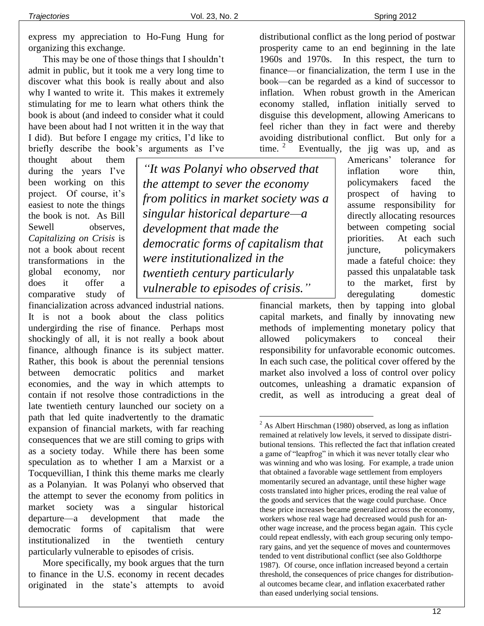express my appreciation to Ho-Fung Hung for organizing this exchange.

This may be one of those things that I shouldn't admit in public, but it took me a very long time to discover what this book is really about and also why I wanted to write it. This makes it extremely stimulating for me to learn what others think the book is about (and indeed to consider what it could have been about had I not written it in the way that I did). But before I engage my critics, I'd like to briefly describe the book's arguments as I've

thought about them during the years I've been working on this project. Of course, it's easiest to note the things the book is not. As Bill Sewell observes, *Capitalizing on Crisis* is not a book about recent transformations in the global economy, nor does it offer a comparative study of

*"It was Polanyi who observed that the attempt to sever the economy from politics in market society was a singular historical departure—a development that made the democratic forms of capitalism that were institutionalized in the twentieth century particularly vulnerable to episodes of crisis."*

÷.

financialization across advanced industrial nations. It is not a book about the class politics undergirding the rise of finance. Perhaps most shockingly of all, it is not really a book about finance, although finance is its subject matter. Rather, this book is about the perennial tensions between democratic politics and market economies, and the way in which attempts to contain if not resolve those contradictions in the late twentieth century launched our society on a path that led quite inadvertently to the dramatic expansion of financial markets, with far reaching consequences that we are still coming to grips with as a society today. While there has been some speculation as to whether I am a Marxist or a Tocquevillian, I think this theme marks me clearly as a Polanyian. It was Polanyi who observed that the attempt to sever the economy from politics in market society was a singular historical departure—a development that made the democratic forms of capitalism that were institutionalized in the twentieth century particularly vulnerable to episodes of crisis.

More specifically, my book argues that the turn to finance in the U.S. economy in recent decades originated in the state's attempts to avoid distributional conflict as the long period of postwar prosperity came to an end beginning in the late 1960s and 1970s. In this respect, the turn to finance—or financialization, the term I use in the book—can be regarded as a kind of successor to inflation. When robust growth in the American economy stalled, inflation initially served to disguise this development, allowing Americans to feel richer than they in fact were and thereby avoiding distributional conflict. But only for a time.  $2$ Eventually, the jig was up, and as

Americans' tolerance for inflation wore thin, policymakers faced the prospect of having to assume responsibility for directly allocating resources between competing social priorities. At each such juncture, policymakers made a fateful choice: they passed this unpalatable task to the market, first by deregulating domestic

financial markets, then by tapping into global capital markets, and finally by innovating new methods of implementing monetary policy that allowed policymakers to conceal their responsibility for unfavorable economic outcomes. In each such case, the political cover offered by the market also involved a loss of control over policy outcomes, unleashing a dramatic expansion of credit, as well as introducing a great deal of

 $2$  As Albert Hirschman (1980) observed, as long as inflation remained at relatively low levels, it served to dissipate distributional tensions. This reflected the fact that inflation created a game of "leapfrog" in which it was never totally clear who was winning and who was losing. For example, a trade union that obtained a favorable wage settlement from employers momentarily secured an advantage, until these higher wage costs translated into higher prices, eroding the real value of the goods and services that the wage could purchase. Once these price increases became generalized across the economy, workers whose real wage had decreased would push for another wage increase, and the process began again. This cycle could repeat endlessly, with each group securing only temporary gains, and yet the sequence of moves and countermoves tended to vent distributional conflict (see also Goldthorpe 1987). Of course, once inflation increased beyond a certain threshold, the consequences of price changes for distributional outcomes became clear, and inflation exacerbated rather than eased underlying social tensions.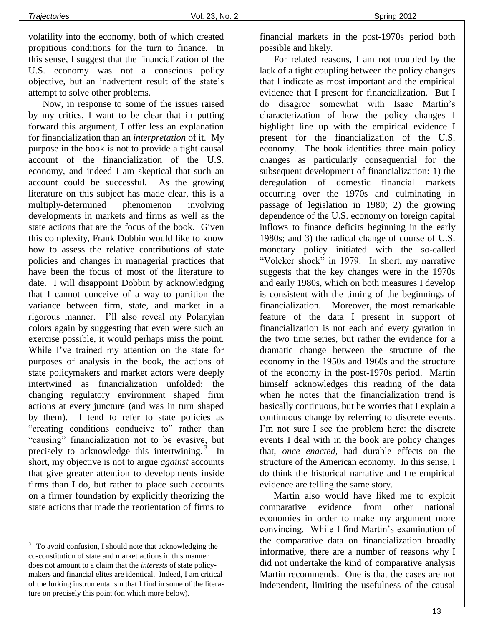volatility into the economy, both of which created propitious conditions for the turn to finance. In this sense, I suggest that the financialization of the U.S. economy was not a conscious policy objective, but an inadvertent result of the state's attempt to solve other problems.

Now, in response to some of the issues raised by my critics, I want to be clear that in putting forward this argument, I offer less an explanation for financialization than an *interpretation* of it. My purpose in the book is not to provide a tight causal account of the financialization of the U.S. economy, and indeed I am skeptical that such an account could be successful. As the growing literature on this subject has made clear, this is a multiply-determined phenomenon involving developments in markets and firms as well as the state actions that are the focus of the book. Given this complexity, Frank Dobbin would like to know how to assess the relative contributions of state policies and changes in managerial practices that have been the focus of most of the literature to date. I will disappoint Dobbin by acknowledging that I cannot conceive of a way to partition the variance between firm, state, and market in a rigorous manner. I'll also reveal my Polanyian colors again by suggesting that even were such an exercise possible, it would perhaps miss the point. While I've trained my attention on the state for purposes of analysis in the book, the actions of state policymakers and market actors were deeply intertwined as financialization unfolded: the changing regulatory environment shaped firm actions at every juncture (and was in turn shaped by them). I tend to refer to state policies as "creating conditions conducive to" rather than "causing" financialization not to be evasive, but precisely to acknowledge this intertwining.<sup>3</sup> In short, my objective is not to argue *against* accounts that give greater attention to developments inside firms than I do, but rather to place such accounts on a firmer foundation by explicitly theorizing the state actions that made the reorientation of firms to

÷.

financial markets in the post-1970s period both possible and likely.

For related reasons, I am not troubled by the lack of a tight coupling between the policy changes that I indicate as most important and the empirical evidence that I present for financialization. But I do disagree somewhat with Isaac Martin's characterization of how the policy changes I highlight line up with the empirical evidence I present for the financialization of the U.S. economy. The book identifies three main policy changes as particularly consequential for the subsequent development of financialization: 1) the deregulation of domestic financial markets occurring over the 1970s and culminating in passage of legislation in 1980; 2) the growing dependence of the U.S. economy on foreign capital inflows to finance deficits beginning in the early 1980s; and 3) the radical change of course of U.S. monetary policy initiated with the so-called "Volcker shock" in 1979. In short, my narrative suggests that the key changes were in the 1970s and early 1980s, which on both measures I develop is consistent with the timing of the beginnings of financialization. Moreover, the most remarkable feature of the data I present in support of financialization is not each and every gyration in the two time series, but rather the evidence for a dramatic change between the structure of the economy in the 1950s and 1960s and the structure of the economy in the post-1970s period. Martin himself acknowledges this reading of the data when he notes that the financialization trend is basically continuous, but he worries that I explain a continuous change by referring to discrete events. I'm not sure I see the problem here: the discrete events I deal with in the book are policy changes that, *once enacted*, had durable effects on the structure of the American economy. In this sense, I do think the historical narrative and the empirical evidence are telling the same story.

Martin also would have liked me to exploit comparative evidence from other national economies in order to make my argument more convincing. While I find Martin's examination of the comparative data on financialization broadly informative, there are a number of reasons why I did not undertake the kind of comparative analysis Martin recommends. One is that the cases are not independent, limiting the usefulness of the causal

<sup>&</sup>lt;sup>3</sup> To avoid confusion, I should note that acknowledging the co-constitution of state and market actions in this manner does not amount to a claim that the *interests* of state policymakers and financial elites are identical. Indeed, I am critical of the lurking instrumentalism that I find in some of the literature on precisely this point (on which more below).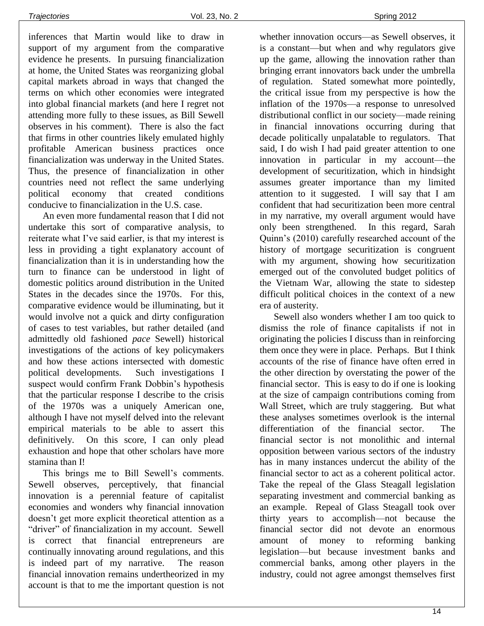inferences that Martin would like to draw in support of my argument from the comparative evidence he presents. In pursuing financialization at home, the United States was reorganizing global capital markets abroad in ways that changed the terms on which other economies were integrated into global financial markets (and here I regret not attending more fully to these issues, as Bill Sewell observes in his comment). There is also the fact that firms in other countries likely emulated highly profitable American business practices once financialization was underway in the United States. Thus, the presence of financialization in other countries need not reflect the same underlying political economy that created conditions conducive to financialization in the U.S. case.

An even more fundamental reason that I did not undertake this sort of comparative analysis, to reiterate what I've said earlier, is that my interest is less in providing a tight explanatory account of financialization than it is in understanding how the turn to finance can be understood in light of domestic politics around distribution in the United States in the decades since the 1970s. For this, comparative evidence would be illuminating, but it would involve not a quick and dirty configuration of cases to test variables, but rather detailed (and admittedly old fashioned *pace* Sewell) historical investigations of the actions of key policymakers and how these actions intersected with domestic political developments. Such investigations I suspect would confirm Frank Dobbin's hypothesis that the particular response I describe to the crisis of the 1970s was a uniquely American one, although I have not myself delved into the relevant empirical materials to be able to assert this definitively. On this score, I can only plead exhaustion and hope that other scholars have more stamina than I!

This brings me to Bill Sewell's comments. Sewell observes, perceptively, that financial innovation is a perennial feature of capitalist economies and wonders why financial innovation doesn't get more explicit theoretical attention as a "driver" of financialization in my account. Sewell is correct that financial entrepreneurs are continually innovating around regulations, and this is indeed part of my narrative. The reason financial innovation remains undertheorized in my account is that to me the important question is not

whether innovation occurs—as Sewell observes, it is a constant—but when and why regulators give up the game, allowing the innovation rather than bringing errant innovators back under the umbrella of regulation. Stated somewhat more pointedly, the critical issue from my perspective is how the inflation of the 1970s—a response to unresolved distributional conflict in our society—made reining in financial innovations occurring during that decade politically unpalatable to regulators. That said, I do wish I had paid greater attention to one innovation in particular in my account—the development of securitization, which in hindsight assumes greater importance than my limited attention to it suggested. I will say that I am confident that had securitization been more central in my narrative, my overall argument would have only been strengthened. In this regard, Sarah Quinn's (2010) carefully researched account of the history of mortgage securitization is congruent with my argument, showing how securitization emerged out of the convoluted budget politics of the Vietnam War, allowing the state to sidestep difficult political choices in the context of a new era of austerity.

Sewell also wonders whether I am too quick to dismiss the role of finance capitalists if not in originating the policies I discuss than in reinforcing them once they were in place. Perhaps. But I think accounts of the rise of finance have often erred in the other direction by overstating the power of the financial sector. This is easy to do if one is looking at the size of campaign contributions coming from Wall Street, which are truly staggering. But what these analyses sometimes overlook is the internal differentiation of the financial sector. The financial sector is not monolithic and internal opposition between various sectors of the industry has in many instances undercut the ability of the financial sector to act as a coherent political actor. Take the repeal of the Glass Steagall legislation separating investment and commercial banking as an example. Repeal of Glass Steagall took over thirty years to accomplish—not because the financial sector did not devote an enormous amount of money to reforming banking legislation—but because investment banks and commercial banks, among other players in the industry, could not agree amongst themselves first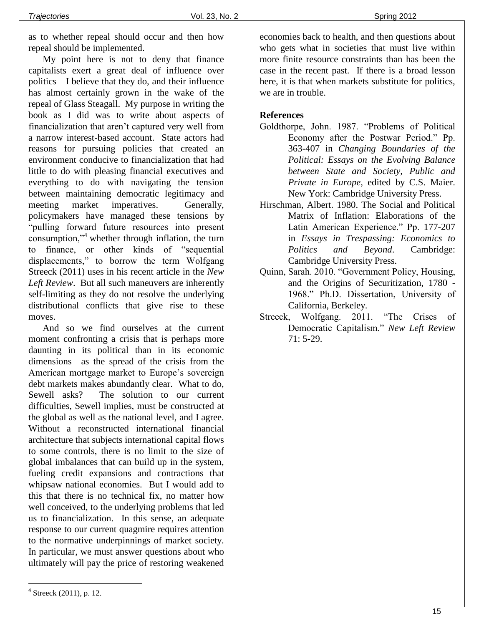as to whether repeal should occur and then how repeal should be implemented.

My point here is not to deny that finance capitalists exert a great deal of influence over politics—I believe that they do, and their influence has almost certainly grown in the wake of the repeal of Glass Steagall. My purpose in writing the book as I did was to write about aspects of financialization that aren't captured very well from a narrow interest-based account. State actors had reasons for pursuing policies that created an environment conducive to financialization that had little to do with pleasing financial executives and everything to do with navigating the tension between maintaining democratic legitimacy and meeting market imperatives. Generally, policymakers have managed these tensions by "pulling forward future resources into present consumption,"<sup>4</sup> whether through inflation, the turn to finance, or other kinds of "sequential displacements," to borrow the term Wolfgang Streeck (2011) uses in his recent article in the *New Left Review*. But all such maneuvers are inherently self-limiting as they do not resolve the underlying distributional conflicts that give rise to these moves.

And so we find ourselves at the current moment confronting a crisis that is perhaps more daunting in its political than in its economic dimensions—as the spread of the crisis from the American mortgage market to Europe's sovereign debt markets makes abundantly clear. What to do, Sewell asks? The solution to our current difficulties, Sewell implies, must be constructed at the global as well as the national level, and I agree. Without a reconstructed international financial architecture that subjects international capital flows to some controls, there is no limit to the size of global imbalances that can build up in the system, fueling credit expansions and contractions that whipsaw national economies. But I would add to this that there is no technical fix, no matter how well conceived, to the underlying problems that led us to financialization. In this sense, an adequate response to our current quagmire requires attention to the normative underpinnings of market society. In particular, we must answer questions about who ultimately will pay the price of restoring weakened

#### **References**

- Goldthorpe, John. 1987. "Problems of Political Economy after the Postwar Period." Pp. 363-407 in *Changing Boundaries of the Political: Essays on the Evolving Balance between State and Society, Public and Private in Europe*, edited by C.S. Maier. New York: Cambridge University Press.
- Hirschman, Albert. 1980. The Social and Political Matrix of Inflation: Elaborations of the Latin American Experience." Pp. 177-207 in *Essays in Trespassing: Economics to Politics and Beyond*. Cambridge: Cambridge University Press.
- Quinn, Sarah. 2010. "Government Policy, Housing, and the Origins of Securitization, 1780 - 1968." Ph.D. Dissertation, University of California, Berkeley.
- Streeck, Wolfgang. 2011. "The Crises of Democratic Capitalism." *New Left Review* 71: 5-29.

÷.

economies back to health, and then questions about who gets what in societies that must live within more finite resource constraints than has been the case in the recent past. If there is a broad lesson here, it is that when markets substitute for politics, we are in trouble.

 $4$  Streeck (2011), p. 12.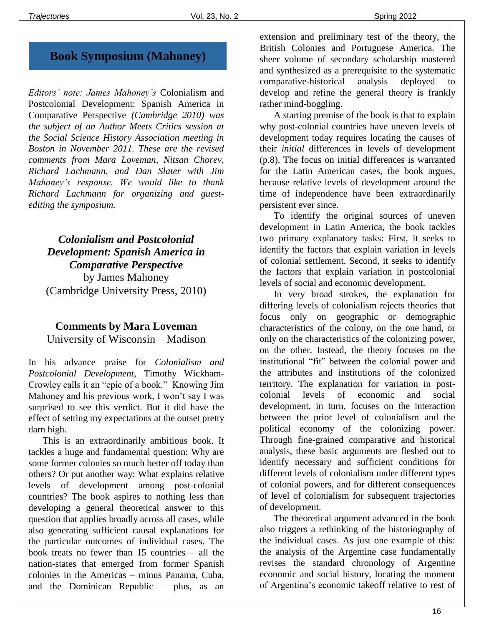# **Book Symposium (Mahoney)**

*Editors' note: James Mahoney's* Colonialism and Postcolonial Development: Spanish America in Comparative Perspective *(Cambridge 2010) was the subject of an Author Meets Critics session at the Social Science History Association meeting in Boston in November 2011. These are the revised comments from Mara Loveman, Nitsan Chorev, Richard Lachmann, and Dan Slater with Jim Mahoney's response. We would like to thank Richard Lachmann for organizing and guestediting the symposium.*

# *Colonialism and Postcolonial Development: Spanish America in Comparative Perspective* by James Mahoney (Cambridge University Press, 2010)

## **Comments by Mara Loveman** University of Wisconsin – Madison

In his advance praise for *Colonialism and Postcolonial Development,* Timothy Wickham-Crowley calls it an "epic of a book." Knowing Jim Mahoney and his previous work, I won't say I was surprised to see this verdict. But it did have the effect of setting my expectations at the outset pretty darn high.

This is an extraordinarily ambitious book. It tackles a huge and fundamental question: Why are some former colonies so much better off today than others? Or put another way: What explains relative levels of development among post-colonial countries? The book aspires to nothing less than developing a general theoretical answer to this question that applies broadly across all cases, while also generating sufficient causal explanations for the particular outcomes of individual cases. The book treats no fewer than 15 countries – all the nation-states that emerged from former Spanish colonies in the Americas – minus Panama, Cuba, and the Dominican Republic – plus, as an extension and preliminary test of the theory, the British Colonies and Portuguese America. The sheer volume of secondary scholarship mastered and synthesized as a prerequisite to the systematic comparative-historical analysis deployed to develop and refine the general theory is frankly rather mind-boggling.

A starting premise of the book is that to explain why post-colonial countries have uneven levels of development today requires locating the causes of their *initial* differences in levels of development (p.8). The focus on initial differences is warranted for the Latin American cases, the book argues, because relative levels of development around the time of independence have been extraordinarily persistent ever since.

To identify the original sources of uneven development in Latin America, the book tackles two primary explanatory tasks: First, it seeks to identify the factors that explain variation in levels of colonial settlement. Second, it seeks to identify the factors that explain variation in postcolonial levels of social and economic development.

In very broad strokes, the explanation for differing levels of colonialism rejects theories that focus only on geographic or demographic characteristics of the colony, on the one hand, or only on the characteristics of the colonizing power, on the other. Instead, the theory focuses on the institutional "fit" between the colonial power and the attributes and institutions of the colonized territory. The explanation for variation in postcolonial levels of economic and social development, in turn, focuses on the interaction between the prior level of colonialism and the political economy of the colonizing power. Through fine-grained comparative and historical analysis, these basic arguments are fleshed out to identify necessary and sufficient conditions for different levels of colonialism under different types of colonial powers, and for different consequences of level of colonialism for subsequent trajectories of development.

The theoretical argument advanced in the book also triggers a rethinking of the historiography of the individual cases. As just one example of this: the analysis of the Argentine case fundamentally revises the standard chronology of Argentine economic and social history, locating the moment of Argentina's economic takeoff relative to rest of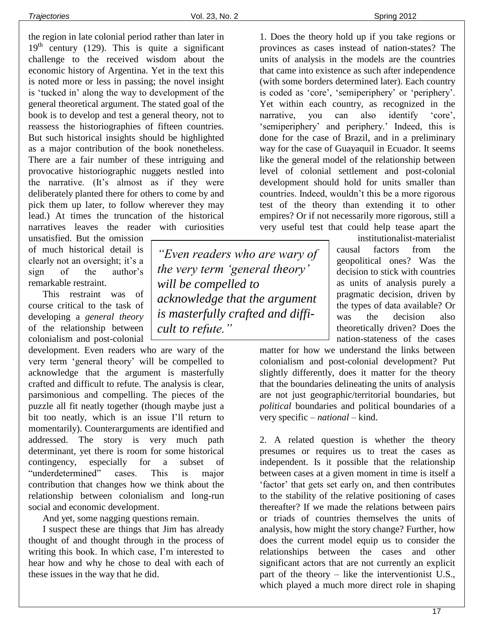the region in late colonial period rather than later in  $19<sup>th</sup>$  century (129). This is quite a significant challenge to the received wisdom about the economic history of Argentina. Yet in the text this is noted more or less in passing; the novel insight is 'tucked in' along the way to development of the general theoretical argument. The stated goal of the book is to develop and test a general theory, not to reassess the historiographies of fifteen countries. But such historical insights should be highlighted as a major contribution of the book nonetheless. There are a fair number of these intriguing and provocative historiographic nuggets nestled into the narrative. (It's almost as if they were deliberately planted there for others to come by and pick them up later, to follow wherever they may lead.) At times the truncation of the historical narratives leaves the reader with curiosities

unsatisfied. But the omission of much historical detail is clearly not an oversight; it's a sign of the author's remarkable restraint.

This restraint was of course critical to the task of developing a *general theory* of the relationship between colonialism and post-colonial

development. Even readers who are wary of the very term 'general theory' will be compelled to acknowledge that the argument is masterfully crafted and difficult to refute. The analysis is clear, parsimonious and compelling. The pieces of the puzzle all fit neatly together (though maybe just a bit too neatly, which is an issue I'll return to momentarily). Counterarguments are identified and addressed. The story is very much path determinant, yet there is room for some historical contingency, especially for a subset of "underdetermined" cases. This is major contribution that changes how we think about the relationship between colonialism and long-run social and economic development.

And yet, some nagging questions remain.

I suspect these are things that Jim has already thought of and thought through in the process of writing this book. In which case, I'm interested to hear how and why he chose to deal with each of these issues in the way that he did.

*"Even readers who are wary of the very term 'general theory' will be compelled to acknowledge that the argument is masterfully crafted and difficult to refute."*

1. Does the theory hold up if you take regions or provinces as cases instead of nation-states? The units of analysis in the models are the countries that came into existence as such after independence (with some borders determined later). Each country is coded as 'core', 'semiperiphery' or 'periphery'. Yet within each country, as recognized in the narrative, you can also identify 'core', 'semiperiphery' and periphery.' Indeed, this is done for the case of Brazil, and in a preliminary way for the case of Guayaquil in Ecuador. It seems like the general model of the relationship between level of colonial settlement and post-colonial development should hold for units smaller than countries. Indeed, wouldn't this be a more rigorous test of the theory than extending it to other empires? Or if not necessarily more rigorous, still a very useful test that could help tease apart the

> institutionalist-materialist causal factors from the geopolitical ones? Was the decision to stick with countries as units of analysis purely a pragmatic decision, driven by the types of data available? Or was the decision also theoretically driven? Does the nation-stateness of the cases

matter for how we understand the links between colonialism and post-colonial development? Put slightly differently, does it matter for the theory that the boundaries delineating the units of analysis are not just geographic/territorial boundaries, but *political* boundaries and political boundaries of a very specific – *national –* kind.

2. A related question is whether the theory presumes or requires us to treat the cases as independent. Is it possible that the relationship between cases at a given moment in time is itself a 'factor' that gets set early on, and then contributes to the stability of the relative positioning of cases thereafter? If we made the relations between pairs or triads of countries themselves the units of analysis, how might the story change? Further, how does the current model equip us to consider the relationships between the cases and other significant actors that are not currently an explicit part of the theory – like the interventionist U.S., which played a much more direct role in shaping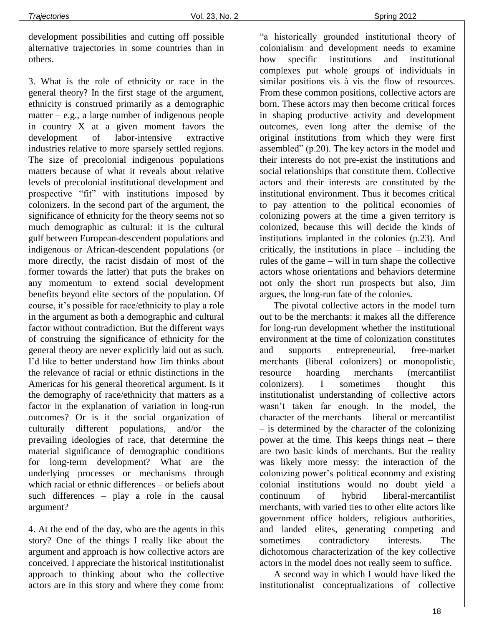development possibilities and cutting off possible alternative trajectories in some countries than in others.

3. What is the role of ethnicity or race in the general theory? In the first stage of the argument, ethnicity is construed primarily as a demographic matter – e.g., a large number of indigenous people in country X at a given moment favors the development of labor-intensive extractive industries relative to more sparsely settled regions. The size of precolonial indigenous populations matters because of what it reveals about relative levels of precolonial institutional development and prospective "fit" with institutions imposed by colonizers. In the second part of the argument, the significance of ethnicity for the theory seems not so much demographic as cultural: it is the cultural gulf between European-descendent populations and indigenous or African-descendent populations (or more directly, the racist disdain of most of the former towards the latter) that puts the brakes on any momentum to extend social development benefits beyond elite sectors of the population. Of course, it's possible for race/ethnicity to play a role in the argument as both a demographic and cultural factor without contradiction. But the different ways of construing the significance of ethnicity for the general theory are never explicitly laid out as such. I'd like to better understand how Jim thinks about the relevance of racial or ethnic distinctions in the Americas for his general theoretical argument. Is it the demography of race/ethnicity that matters as a factor in the explanation of variation in long-run outcomes? Or is it the social organization of culturally different populations, and/or the prevailing ideologies of race, that determine the material significance of demographic conditions for long-term development? What are the underlying processes or mechanisms through which racial or ethnic differences – or beliefs about such differences – play a role in the causal argument?

4. At the end of the day, who are the agents in this story? One of the things I really like about the argument and approach is how collective actors are conceived. I appreciate the historical institutionalist approach to thinking about who the collective actors are in this story and where they come from: "a historically grounded institutional theory of colonialism and development needs to examine how specific institutions and institutional complexes put whole groups of individuals in similar positions vis à vis the flow of resources. From these common positions, collective actors are born. These actors may then become critical forces in shaping productive activity and development outcomes, even long after the demise of the original institutions from which they were first assembled" (p.20). The key actors in the model and their interests do not pre-exist the institutions and social relationships that constitute them. Collective actors and their interests are constituted by the institutional environment. Thus it becomes critical to pay attention to the political economies of colonizing powers at the time a given territory is colonized, because this will decide the kinds of institutions implanted in the colonies (p.23). And critically, the institutions in place – including the rules of the game – will in turn shape the collective actors whose orientations and behaviors determine not only the short run prospects but also, Jim argues, the long-run fate of the colonies.

The pivotal collective actors in the model turn out to be the merchants: it makes all the difference for long-run development whether the institutional environment at the time of colonization constitutes and supports entrepreneurial, free-market merchants (liberal colonizers) or monopolistic, resource hoarding merchants (mercantilist colonizers). I sometimes thought this institutionalist understanding of collective actors wasn't taken far enough. In the model, the character of the merchants – liberal or mercantilist – is determined by the character of the colonizing power at the time. This keeps things neat – there are two basic kinds of merchants. But the reality was likely more messy: the interaction of the colonizing power's political economy and existing colonial institutions would no doubt yield a continuum of hybrid liberal-mercantilist merchants, with varied ties to other elite actors like government office holders, religious authorities, and landed elites, generating competing and sometimes contradictory interests. The dichotomous characterization of the key collective actors in the model does not really seem to suffice.

A second way in which I would have liked the institutionalist conceptualizations of collective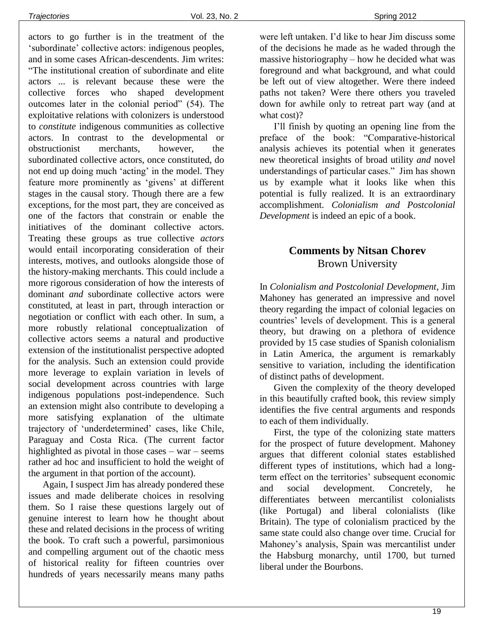actors to go further is in the treatment of the 'subordinate' collective actors: indigenous peoples, and in some cases African-descendents. Jim writes: "The institutional creation of subordinate and elite actors ... is relevant because these were the collective forces who shaped development outcomes later in the colonial period" (54). The exploitative relations with colonizers is understood to *constitute* indigenous communities as collective actors. In contrast to the developmental or obstructionist merchants, however, the subordinated collective actors, once constituted, do not end up doing much 'acting' in the model. They feature more prominently as 'givens' at different stages in the causal story. Though there are a few exceptions, for the most part, they are conceived as one of the factors that constrain or enable the initiatives of the dominant collective actors. Treating these groups as true collective *actors* would entail incorporating consideration of their interests, motives, and outlooks alongside those of the history-making merchants. This could include a more rigorous consideration of how the interests of dominant *and* subordinate collective actors were constituted, at least in part, through interaction or negotiation or conflict with each other. In sum, a more robustly relational conceptualization of collective actors seems a natural and productive extension of the institutionalist perspective adopted for the analysis. Such an extension could provide more leverage to explain variation in levels of social development across countries with large indigenous populations post-independence. Such an extension might also contribute to developing a more satisfying explanation of the ultimate trajectory of 'underdetermined' cases, like Chile, Paraguay and Costa Rica. (The current factor highlighted as pivotal in those cases – war – seems rather ad hoc and insufficient to hold the weight of the argument in that portion of the account).

Again, I suspect Jim has already pondered these issues and made deliberate choices in resolving them. So I raise these questions largely out of genuine interest to learn how he thought about these and related decisions in the process of writing the book. To craft such a powerful, parsimonious and compelling argument out of the chaotic mess of historical reality for fifteen countries over hundreds of years necessarily means many paths were left untaken. I'd like to hear Jim discuss some of the decisions he made as he waded through the massive historiography – how he decided what was foreground and what background, and what could be left out of view altogether. Were there indeed paths not taken? Were there others you traveled down for awhile only to retreat part way (and at what cost)?

I'll finish by quoting an opening line from the preface of the book: "Comparative-historical analysis achieves its potential when it generates new theoretical insights of broad utility *and* novel understandings of particular cases." Jim has shown us by example what it looks like when this potential is fully realized. It is an extraordinary accomplishment. *Colonialism and Postcolonial Development* is indeed an epic of a book.

# **Comments by Nitsan Chorev** Brown University

In *Colonialism and Postcolonial Development*, Jim Mahoney has generated an impressive and novel theory regarding the impact of colonial legacies on countries' levels of development. This is a general theory, but drawing on a plethora of evidence provided by 15 case studies of Spanish colonialism in Latin America, the argument is remarkably sensitive to variation, including the identification of distinct paths of development.

Given the complexity of the theory developed in this beautifully crafted book, this review simply identifies the five central arguments and responds to each of them individually.

First, the type of the colonizing state matters for the prospect of future development. Mahoney argues that different colonial states established different types of institutions, which had a longterm effect on the territories' subsequent economic and social development. Concretely, he differentiates between mercantilist colonialists (like Portugal) and liberal colonialists (like Britain). The type of colonialism practiced by the same state could also change over time. Crucial for Mahoney's analysis, Spain was mercantilist under the Habsburg monarchy, until 1700, but turned liberal under the Bourbons.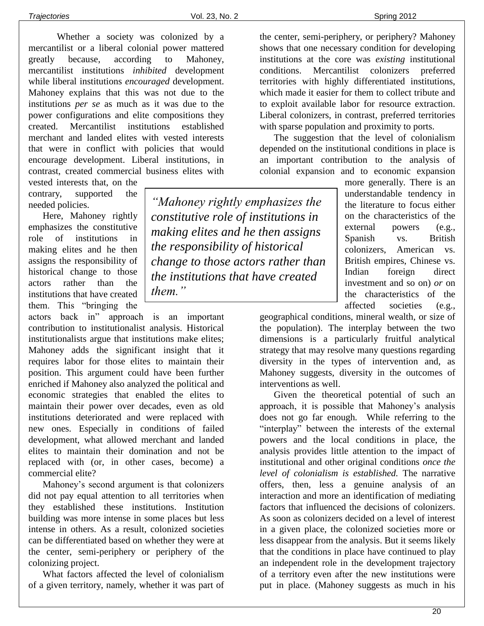Whether a society was colonized by a mercantilist or a liberal colonial power mattered greatly because, according to Mahoney, mercantilist institutions *inhibited* development while liberal institutions *encouraged* development. Mahoney explains that this was not due to the institutions *per se* as much as it was due to the power configurations and elite compositions they created. Mercantilist institutions established merchant and landed elites with vested interests that were in conflict with policies that would encourage development. Liberal institutions, in contrast, created commercial business elites with

vested interests that, on the contrary, supported the needed policies.

Here, Mahoney rightly emphasizes the constitutive role of institutions in making elites and he then assigns the responsibility of historical change to those actors rather than the institutions that have created them. This "bringing the

actors back in" approach is an important contribution to institutionalist analysis. Historical institutionalists argue that institutions make elites; Mahoney adds the significant insight that it requires labor for those elites to maintain their position. This argument could have been further enriched if Mahoney also analyzed the political and economic strategies that enabled the elites to maintain their power over decades, even as old institutions deteriorated and were replaced with new ones. Especially in conditions of failed development, what allowed merchant and landed elites to maintain their domination and not be replaced with (or, in other cases, become) a commercial elite?

Mahoney's second argument is that colonizers did not pay equal attention to all territories when they established these institutions. Institution building was more intense in some places but less intense in others. As a result, colonized societies can be differentiated based on whether they were at the center, semi-periphery or periphery of the colonizing project.

What factors affected the level of colonialism of a given territory, namely, whether it was part of

*"Mahoney rightly emphasizes the constitutive role of institutions in making elites and he then assigns the responsibility of historical change to those actors rather than the institutions that have created them."*

the center, semi-periphery, or periphery? Mahoney shows that one necessary condition for developing institutions at the core was *existing* institutional conditions. Mercantilist colonizers preferred territories with highly differentiated institutions, which made it easier for them to collect tribute and to exploit available labor for resource extraction. Liberal colonizers, in contrast, preferred territories with sparse population and proximity to ports.

The suggestion that the level of colonialism depended on the institutional conditions in place is an important contribution to the analysis of colonial expansion and to economic expansion

> more generally. There is an understandable tendency in the literature to focus either on the characteristics of the external powers (e.g., Spanish vs. British colonizers, American vs. British empires, Chinese vs. Indian foreign direct investment and so on) *or* on the characteristics of the affected societies (e.g.,

geographical conditions, mineral wealth, or size of the population). The interplay between the two dimensions is a particularly fruitful analytical strategy that may resolve many questions regarding diversity in the types of intervention and, as Mahoney suggests, diversity in the outcomes of interventions as well.

Given the theoretical potential of such an approach, it is possible that Mahoney's analysis does not go far enough*.* While referring to the "interplay" between the interests of the external powers and the local conditions in place, the analysis provides little attention to the impact of institutional and other original conditions *once the level of colonialism is established.* The narrative offers, then, less a genuine analysis of an interaction and more an identification of mediating factors that influenced the decisions of colonizers. As soon as colonizers decided on a level of interest in a given place, the colonized societies more or less disappear from the analysis. But it seems likely that the conditions in place have continued to play an independent role in the development trajectory of a territory even after the new institutions were put in place. (Mahoney suggests as much in his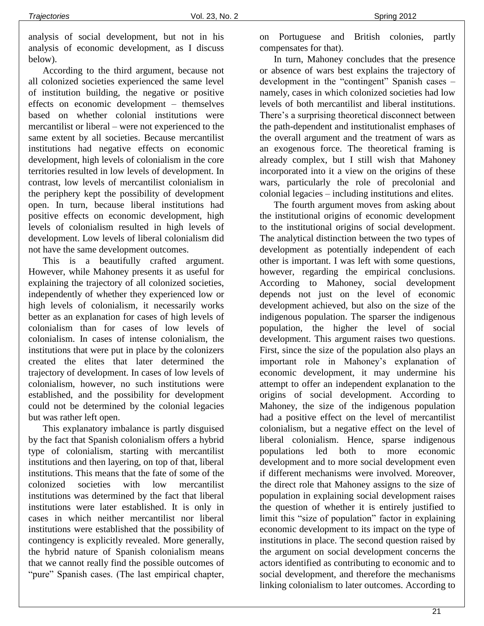analysis of social development, but not in his analysis of economic development, as I discuss below).

According to the third argument, because not all colonized societies experienced the same level of institution building, the negative or positive effects on economic development – themselves based on whether colonial institutions were mercantilist or liberal – were not experienced to the same extent by all societies. Because mercantilist institutions had negative effects on economic development, high levels of colonialism in the core territories resulted in low levels of development. In contrast, low levels of mercantilist colonialism in the periphery kept the possibility of development open. In turn, because liberal institutions had positive effects on economic development, high levels of colonialism resulted in high levels of development. Low levels of liberal colonialism did not have the same development outcomes.

This is a beautifully crafted argument. However, while Mahoney presents it as useful for explaining the trajectory of all colonized societies, independently of whether they experienced low or high levels of colonialism, it necessarily works better as an explanation for cases of high levels of colonialism than for cases of low levels of colonialism. In cases of intense colonialism, the institutions that were put in place by the colonizers created the elites that later determined the trajectory of development. In cases of low levels of colonialism, however, no such institutions were established, and the possibility for development could not be determined by the colonial legacies but was rather left open.

This explanatory imbalance is partly disguised by the fact that Spanish colonialism offers a hybrid type of colonialism, starting with mercantilist institutions and then layering, on top of that, liberal institutions. This means that the fate of some of the colonized societies with low mercantilist institutions was determined by the fact that liberal institutions were later established. It is only in cases in which neither mercantilist nor liberal institutions were established that the possibility of contingency is explicitly revealed. More generally, the hybrid nature of Spanish colonialism means that we cannot really find the possible outcomes of "pure" Spanish cases. (The last empirical chapter, on Portuguese and British colonies, partly compensates for that).

In turn, Mahoney concludes that the presence or absence of wars best explains the trajectory of development in the "contingent" Spanish cases – namely, cases in which colonized societies had low levels of both mercantilist and liberal institutions. There's a surprising theoretical disconnect between the path-dependent and institutionalist emphases of the overall argument and the treatment of wars as an exogenous force. The theoretical framing is already complex, but I still wish that Mahoney incorporated into it a view on the origins of these wars, particularly the role of precolonial and colonial legacies – including institutions and elites.

The fourth argument moves from asking about the institutional origins of economic development to the institutional origins of social development. The analytical distinction between the two types of development as potentially independent of each other is important. I was left with some questions, however, regarding the empirical conclusions. According to Mahoney, social development depends not just on the level of economic development achieved, but also on the size of the indigenous population. The sparser the indigenous population, the higher the level of social development. This argument raises two questions. First, since the size of the population also plays an important role in Mahoney's explanation of economic development, it may undermine his attempt to offer an independent explanation to the origins of social development. According to Mahoney, the size of the indigenous population had a positive effect on the level of mercantilist colonialism, but a negative effect on the level of liberal colonialism. Hence, sparse indigenous populations led both to more economic development and to more social development even if different mechanisms were involved. Moreover, the direct role that Mahoney assigns to the size of population in explaining social development raises the question of whether it is entirely justified to limit this "size of population" factor in explaining economic development to its impact on the type of institutions in place. The second question raised by the argument on social development concerns the actors identified as contributing to economic and to social development, and therefore the mechanisms linking colonialism to later outcomes. According to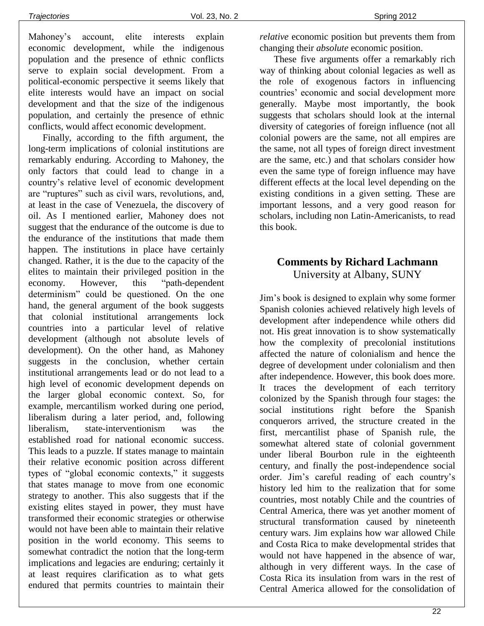Mahoney's account, elite interests explain economic development, while the indigenous population and the presence of ethnic conflicts serve to explain social development. From a political-economic perspective it seems likely that elite interests would have an impact on social development and that the size of the indigenous population, and certainly the presence of ethnic conflicts, would affect economic development.

Finally, according to the fifth argument, the long-term implications of colonial institutions are remarkably enduring. According to Mahoney, the only factors that could lead to change in a country's relative level of economic development are "ruptures" such as civil wars, revolutions, and, at least in the case of Venezuela, the discovery of oil. As I mentioned earlier, Mahoney does not suggest that the endurance of the outcome is due to the endurance of the institutions that made them happen. The institutions in place have certainly changed. Rather, it is the due to the capacity of the elites to maintain their privileged position in the economy. However*,* this "path-dependent determinism" could be questioned. On the one hand, the general argument of the book suggests that colonial institutional arrangements lock countries into a particular level of relative development (although not absolute levels of development). On the other hand, as Mahoney suggests in the conclusion, whether certain institutional arrangements lead or do not lead to a high level of economic development depends on the larger global economic context. So, for example, mercantilism worked during one period, liberalism during a later period, and, following liberalism, state-interventionism was the established road for national economic success. This leads to a puzzle. If states manage to maintain their relative economic position across different types of "global economic contexts," it suggests that states manage to move from one economic strategy to another. This also suggests that if the existing elites stayed in power, they must have transformed their economic strategies or otherwise would not have been able to maintain their relative position in the world economy. This seems to somewhat contradict the notion that the long-term implications and legacies are enduring; certainly it at least requires clarification as to what gets endured that permits countries to maintain their

*relative* economic position but prevents them from changing their *absolute* economic position.

These five arguments offer a remarkably rich way of thinking about colonial legacies as well as the role of exogenous factors in influencing countries' economic and social development more generally. Maybe most importantly, the book suggests that scholars should look at the internal diversity of categories of foreign influence (not all colonial powers are the same, not all empires are the same, not all types of foreign direct investment are the same, etc.) and that scholars consider how even the same type of foreign influence may have different effects at the local level depending on the existing conditions in a given setting. These are important lessons, and a very good reason for scholars, including non Latin-Americanists, to read this book.

# **Comments by Richard Lachmann** University at Albany, SUNY

Jim's book is designed to explain why some former Spanish colonies achieved relatively high levels of development after independence while others did not. His great innovation is to show systematically how the complexity of precolonial institutions affected the nature of colonialism and hence the degree of development under colonialism and then after independence. However, this book does more. It traces the development of each territory colonized by the Spanish through four stages: the social institutions right before the Spanish conquerors arrived, the structure created in the first, mercantilist phase of Spanish rule, the somewhat altered state of colonial government under liberal Bourbon rule in the eighteenth century, and finally the post-independence social order. Jim's careful reading of each country's history led him to the realization that for some countries, most notably Chile and the countries of Central America, there was yet another moment of structural transformation caused by nineteenth century wars. Jim explains how war allowed Chile and Costa Rica to make developmental strides that would not have happened in the absence of war, although in very different ways. In the case of Costa Rica its insulation from wars in the rest of Central America allowed for the consolidation of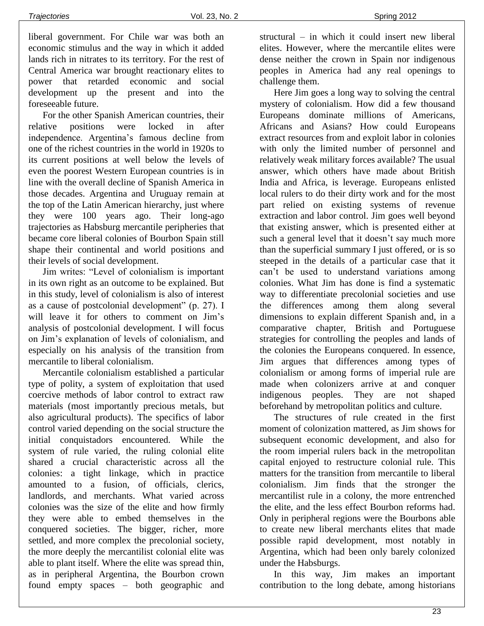liberal government. For Chile war was both an economic stimulus and the way in which it added lands rich in nitrates to its territory. For the rest of Central America war brought reactionary elites to power that retarded economic and social development up the present and into the foreseeable future.

For the other Spanish American countries, their relative positions were locked in after independence. Argentina's famous decline from one of the richest countries in the world in 1920s to its current positions at well below the levels of even the poorest Western European countries is in line with the overall decline of Spanish America in those decades. Argentina and Uruguay remain at the top of the Latin American hierarchy, just where they were 100 years ago. Their long-ago trajectories as Habsburg mercantile peripheries that became core liberal colonies of Bourbon Spain still shape their continental and world positions and their levels of social development.

Jim writes: "Level of colonialism is important in its own right as an outcome to be explained. But in this study, level of colonialism is also of interest as a cause of postcolonial development" (p. 27). I will leave it for others to comment on Jim's analysis of postcolonial development. I will focus on Jim's explanation of levels of colonialism, and especially on his analysis of the transition from mercantile to liberal colonialism.

Mercantile colonialism established a particular type of polity, a system of exploitation that used coercive methods of labor control to extract raw materials (most importantly precious metals, but also agricultural products). The specifics of labor control varied depending on the social structure the initial conquistadors encountered. While the system of rule varied, the ruling colonial elite shared a crucial characteristic across all the colonies: a tight linkage, which in practice amounted to a fusion, of officials, clerics, landlords, and merchants. What varied across colonies was the size of the elite and how firmly they were able to embed themselves in the conquered societies. The bigger, richer, more settled, and more complex the precolonial society, the more deeply the mercantilist colonial elite was able to plant itself. Where the elite was spread thin, as in peripheral Argentina, the Bourbon crown found empty spaces – both geographic and structural – in which it could insert new liberal elites. However, where the mercantile elites were dense neither the crown in Spain nor indigenous peoples in America had any real openings to challenge them.

Here Jim goes a long way to solving the central mystery of colonialism. How did a few thousand Europeans dominate millions of Americans, Africans and Asians? How could Europeans extract resources from and exploit labor in colonies with only the limited number of personnel and relatively weak military forces available? The usual answer, which others have made about British India and Africa, is leverage. Europeans enlisted local rulers to do their dirty work and for the most part relied on existing systems of revenue extraction and labor control. Jim goes well beyond that existing answer, which is presented either at such a general level that it doesn't say much more than the superficial summary I just offered, or is so steeped in the details of a particular case that it can't be used to understand variations among colonies. What Jim has done is find a systematic way to differentiate precolonial societies and use the differences among them along several dimensions to explain different Spanish and, in a comparative chapter, British and Portuguese strategies for controlling the peoples and lands of the colonies the Europeans conquered. In essence, Jim argues that differences among types of colonialism or among forms of imperial rule are made when colonizers arrive at and conquer indigenous peoples. They are not shaped beforehand by metropolitan politics and culture.

The structures of rule created in the first moment of colonization mattered, as Jim shows for subsequent economic development, and also for the room imperial rulers back in the metropolitan capital enjoyed to restructure colonial rule. This matters for the transition from mercantile to liberal colonialism. Jim finds that the stronger the mercantilist rule in a colony, the more entrenched the elite, and the less effect Bourbon reforms had. Only in peripheral regions were the Bourbons able to create new liberal merchants elites that made possible rapid development, most notably in Argentina, which had been only barely colonized under the Habsburgs.

In this way, Jim makes an important contribution to the long debate, among historians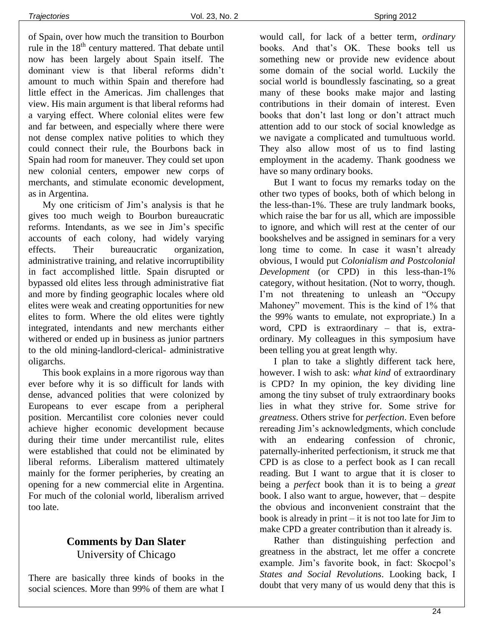of Spain, over how much the transition to Bourbon rule in the 18<sup>th</sup> century mattered. That debate until now has been largely about Spain itself. The dominant view is that liberal reforms didn't amount to much within Spain and therefore had little effect in the Americas. Jim challenges that view. His main argument is that liberal reforms had a varying effect. Where colonial elites were few and far between, and especially where there were not dense complex native polities to which they could connect their rule, the Bourbons back in Spain had room for maneuver. They could set upon new colonial centers, empower new corps of merchants, and stimulate economic development, as in Argentina.

My one criticism of Jim's analysis is that he gives too much weigh to Bourbon bureaucratic reforms. Intendants, as we see in Jim's specific accounts of each colony, had widely varying effects. Their bureaucratic organization, administrative training, and relative incorruptibility in fact accomplished little. Spain disrupted or bypassed old elites less through administrative fiat and more by finding geographic locales where old elites were weak and creating opportunities for new elites to form. Where the old elites were tightly integrated, intendants and new merchants either withered or ended up in business as junior partners to the old mining-landlord-clerical- administrative oligarchs.

This book explains in a more rigorous way than ever before why it is so difficult for lands with dense, advanced polities that were colonized by Europeans to ever escape from a peripheral position. Mercantilist core colonies never could achieve higher economic development because during their time under mercantilist rule, elites were established that could not be eliminated by liberal reforms. Liberalism mattered ultimately mainly for the former peripheries, by creating an opening for a new commercial elite in Argentina. For much of the colonial world, liberalism arrived too late.

## **Comments by Dan Slater** University of Chicago

There are basically three kinds of books in the social sciences. More than 99% of them are what I would call, for lack of a better term, *ordinary* books. And that's OK. These books tell us something new or provide new evidence about some domain of the social world. Luckily the social world is boundlessly fascinating, so a great many of these books make major and lasting contributions in their domain of interest. Even books that don't last long or don't attract much attention add to our stock of social knowledge as we navigate a complicated and tumultuous world. They also allow most of us to find lasting employment in the academy. Thank goodness we have so many ordinary books.

But I want to focus my remarks today on the other two types of books, both of which belong in the less-than-1%. These are truly landmark books, which raise the bar for us all, which are impossible to ignore, and which will rest at the center of our bookshelves and be assigned in seminars for a very long time to come. In case it wasn't already obvious, I would put *Colonialism and Postcolonial Development* (or CPD) in this less-than-1% category, without hesitation. (Not to worry, though. I'm not threatening to unleash an "Occupy Mahoney" movement. This is the kind of 1% that the 99% wants to emulate, not expropriate.) In a word, CPD is extraordinary – that is, extraordinary. My colleagues in this symposium have been telling you at great length why.

I plan to take a slightly different tack here, however. I wish to ask: *what kind* of extraordinary is CPD? In my opinion, the key dividing line among the tiny subset of truly extraordinary books lies in what they strive for. Some strive for *greatness*. Others strive for *perfection*. Even before rereading Jim's acknowledgments, which conclude with an endearing confession of chronic, paternally-inherited perfectionism, it struck me that CPD is as close to a perfect book as I can recall reading. But I want to argue that it is closer to being a *perfect* book than it is to being a *great* book. I also want to argue, however, that – despite the obvious and inconvenient constraint that the book is already in print – it is not too late for Jim to make CPD a greater contribution than it already is.

Rather than distinguishing perfection and greatness in the abstract, let me offer a concrete example. Jim's favorite book, in fact: Skocpol's *States and Social Revolutions*. Looking back, I doubt that very many of us would deny that this is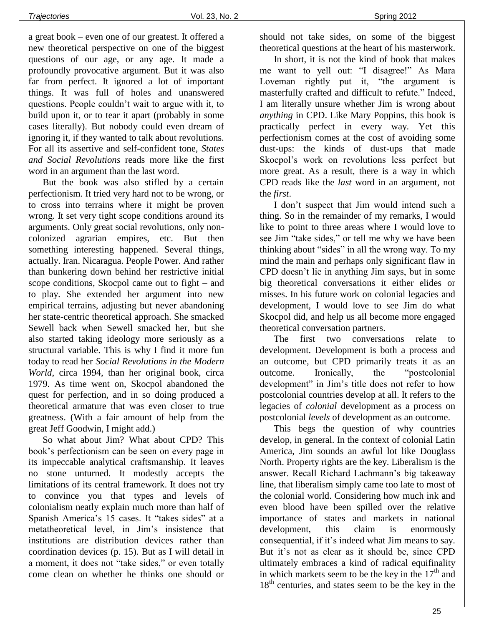a great book – even one of our greatest. It offered a new theoretical perspective on one of the biggest questions of our age, or any age. It made a profoundly provocative argument. But it was also far from perfect. It ignored a lot of important things. It was full of holes and unanswered questions. People couldn't wait to argue with it, to build upon it, or to tear it apart (probably in some cases literally). But nobody could even dream of ignoring it, if they wanted to talk about revolutions. For all its assertive and self-confident tone, *States and Social Revolutions* reads more like the first word in an argument than the last word.

But the book was also stifled by a certain perfectionism. It tried very hard not to be wrong, or to cross into terrains where it might be proven wrong. It set very tight scope conditions around its arguments. Only great social revolutions, only noncolonized agrarian empires, etc. But then something interesting happened. Several things, actually. Iran. Nicaragua. People Power. And rather than bunkering down behind her restrictive initial scope conditions, Skocpol came out to fight – and to play. She extended her argument into new empirical terrains, adjusting but never abandoning her state-centric theoretical approach. She smacked Sewell back when Sewell smacked her, but she also started taking ideology more seriously as a structural variable. This is why I find it more fun today to read her *Social Revolutions in the Modern World*, circa 1994, than her original book, circa 1979. As time went on, Skocpol abandoned the quest for perfection, and in so doing produced a theoretical armature that was even closer to true greatness. (With a fair amount of help from the great Jeff Goodwin, I might add.)

So what about Jim? What about CPD? This book's perfectionism can be seen on every page in its impeccable analytical craftsmanship. It leaves no stone unturned. It modestly accepts the limitations of its central framework. It does not try to convince you that types and levels of colonialism neatly explain much more than half of Spanish America's 15 cases. It "takes sides" at a metatheoretical level, in Jim's insistence that institutions are distribution devices rather than coordination devices (p. 15). But as I will detail in a moment, it does not "take sides," or even totally come clean on whether he thinks one should or should not take sides, on some of the biggest theoretical questions at the heart of his masterwork.

In short, it is not the kind of book that makes me want to yell out: "I disagree!" As Mara Loveman rightly put it, "the argument is masterfully crafted and difficult to refute." Indeed, I am literally unsure whether Jim is wrong about *anything* in CPD. Like Mary Poppins, this book is practically perfect in every way. Yet this perfectionism comes at the cost of avoiding some dust-ups: the kinds of dust-ups that made Skocpol's work on revolutions less perfect but more great. As a result, there is a way in which CPD reads like the *last* word in an argument, not the *first*.

I don't suspect that Jim would intend such a thing. So in the remainder of my remarks, I would like to point to three areas where I would love to see Jim "take sides," or tell me why we have been thinking about "sides" in all the wrong way. To my mind the main and perhaps only significant flaw in CPD doesn't lie in anything Jim says, but in some big theoretical conversations it either elides or misses. In his future work on colonial legacies and development, I would love to see Jim do what Skocpol did, and help us all become more engaged theoretical conversation partners.

The first two conversations relate to development. Development is both a process and an outcome, but CPD primarily treats it as an outcome. Ironically, the "postcolonial development" in Jim's title does not refer to how postcolonial countries develop at all. It refers to the legacies of *colonial* development as a process on postcolonial *levels* of development as an outcome.

This begs the question of why countries develop, in general. In the context of colonial Latin America, Jim sounds an awful lot like Douglass North. Property rights are the key. Liberalism is the answer. Recall Richard Lachmann's big takeaway line, that liberalism simply came too late to most of the colonial world. Considering how much ink and even blood have been spilled over the relative importance of states and markets in national development, this claim is enormously consequential, if it's indeed what Jim means to say. But it's not as clear as it should be, since CPD ultimately embraces a kind of radical equifinality in which markets seem to be the key in the  $17<sup>th</sup>$  and 18<sup>th</sup> centuries, and states seem to be the key in the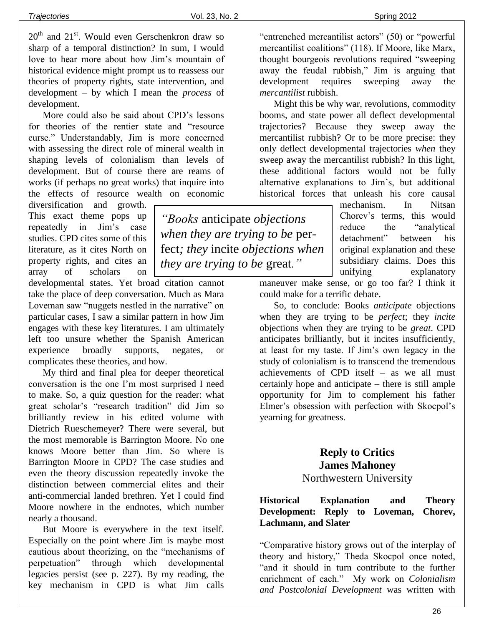$20<sup>th</sup>$  and  $21<sup>st</sup>$ . Would even Gerschenkron draw so sharp of a temporal distinction? In sum, I would love to hear more about how Jim's mountain of historical evidence might prompt us to reassess our theories of property rights, state intervention, and development – by which I mean the *process* of development.

More could also be said about CPD's lessons for theories of the rentier state and "resource curse." Understandably, Jim is more concerned with assessing the direct role of mineral wealth in shaping levels of colonialism than levels of development. But of course there are reams of works (if perhaps no great works) that inquire into the effects of resource wealth on economic

diversification and growth. This exact theme pops up repeatedly in Jim's case studies. CPD cites some of this literature, as it cites North on property rights, and cites an array of scholars on

developmental states. Yet broad citation cannot take the place of deep conversation. Much as Mara Loveman saw "nuggets nestled in the narrative" on particular cases, I saw a similar pattern in how Jim engages with these key literatures. I am ultimately left too unsure whether the Spanish American experience broadly supports, negates, or complicates these theories, and how.

My third and final plea for deeper theoretical conversation is the one I'm most surprised I need to make. So, a quiz question for the reader: what great scholar's "research tradition" did Jim so brilliantly review in his edited volume with Dietrich Rueschemeyer? There were several, but the most memorable is Barrington Moore. No one knows Moore better than Jim. So where is Barrington Moore in CPD? The case studies and even the theory discussion repeatedly invoke the distinction between commercial elites and their anti-commercial landed brethren. Yet I could find Moore nowhere in the endnotes, which number nearly a thousand.

But Moore is everywhere in the text itself. Especially on the point where Jim is maybe most cautious about theorizing, on the "mechanisms of perpetuation" through which developmental legacies persist (see p. 227). By my reading, the key mechanism in CPD is what Jim calls

*"Books* anticipate *objections when they are trying to be* perfect*; they* incite *objections when they are trying to be* great*."*

"entrenched mercantilist actors" (50) or "powerful mercantilist coalitions" (118). If Moore, like Marx, thought bourgeois revolutions required "sweeping away the feudal rubbish," Jim is arguing that development requires sweeping away the *mercantilist* rubbish.

Might this be why war, revolutions, commodity booms, and state power all deflect developmental trajectories? Because they sweep away the mercantilist rubbish? Or to be more precise: they only deflect developmental trajectories *when* they sweep away the mercantilist rubbish? In this light, these additional factors would not be fully alternative explanations to Jim's, but additional historical forces that unleash his core causal

> mechanism. In Nitsan Chorev's terms, this would reduce the "analytical detachment" between his original explanation and these subsidiary claims. Does this unifying explanatory

maneuver make sense, or go too far? I think it could make for a terrific debate.

So, to conclude: Books *anticipate* objections when they are trying to be *perfect*; they *incite* objections when they are trying to be *great*. CPD anticipates brilliantly, but it incites insufficiently, at least for my taste. If Jim's own legacy in the study of colonialism is to transcend the tremendous achievements of CPD itself – as we all must certainly hope and anticipate – there is still ample opportunity for Jim to complement his father Elmer's obsession with perfection with Skocpol's yearning for greatness.

# **Reply to Critics James Mahoney**

## Northwestern University

#### **Historical Explanation and Theory Development: Reply to Loveman, Chorev, Lachmann, and Slater**

"Comparative history grows out of the interplay of theory and history," Theda Skocpol once noted, "and it should in turn contribute to the further enrichment of each." My work on *Colonialism and Postcolonial Development* was written with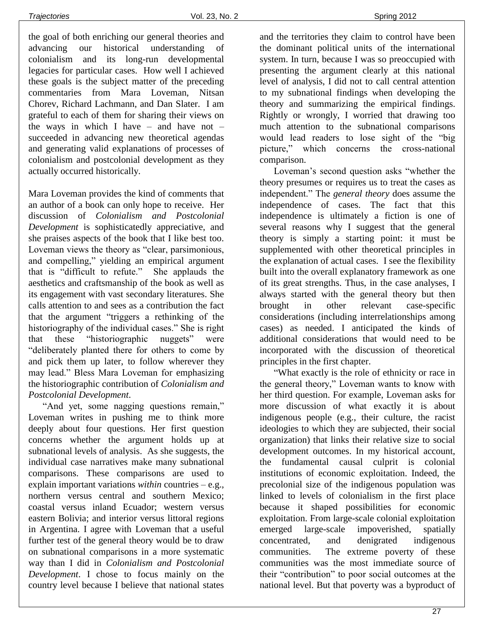the goal of both enriching our general theories and advancing our historical understanding of colonialism and its long-run developmental legacies for particular cases. How well I achieved these goals is the subject matter of the preceding commentaries from Mara Loveman, Nitsan Chorev, Richard Lachmann, and Dan Slater. I am grateful to each of them for sharing their views on the ways in which I have – and have not – succeeded in advancing new theoretical agendas and generating valid explanations of processes of colonialism and postcolonial development as they actually occurred historically.

Mara Loveman provides the kind of comments that an author of a book can only hope to receive. Her discussion of *Colonialism and Postcolonial Development* is sophisticatedly appreciative, and she praises aspects of the book that I like best too. Loveman views the theory as "clear, parsimonious, and compelling," yielding an empirical argument that is "difficult to refute." She applauds the aesthetics and craftsmanship of the book as well as its engagement with vast secondary literatures. She calls attention to and sees as a contribution the fact that the argument "triggers a rethinking of the historiography of the individual cases." She is right that these "historiographic nuggets" were "deliberately planted there for others to come by and pick them up later, to follow wherever they may lead." Bless Mara Loveman for emphasizing the historiographic contribution of *Colonialism and Postcolonial Development*.

"And yet, some nagging questions remain," Loveman writes in pushing me to think more deeply about four questions. Her first question concerns whether the argument holds up at subnational levels of analysis. As she suggests, the individual case narratives make many subnational comparisons. These comparisons are used to explain important variations *within* countries – e.g., northern versus central and southern Mexico; coastal versus inland Ecuador; western versus eastern Bolivia; and interior versus littoral regions in Argentina. I agree with Loveman that a useful further test of the general theory would be to draw on subnational comparisons in a more systematic way than I did in *Colonialism and Postcolonial Development*. I chose to focus mainly on the country level because I believe that national states and the territories they claim to control have been the dominant political units of the international system. In turn, because I was so preoccupied with presenting the argument clearly at this national level of analysis, I did not to call central attention to my subnational findings when developing the theory and summarizing the empirical findings. Rightly or wrongly, I worried that drawing too much attention to the subnational comparisons would lead readers to lose sight of the "big picture," which concerns the cross-national comparison.

Loveman's second question asks "whether the theory presumes or requires us to treat the cases as independent." The *general theory* does assume the independence of cases. The fact that this independence is ultimately a fiction is one of several reasons why I suggest that the general theory is simply a starting point: it must be supplemented with other theoretical principles in the explanation of actual cases. I see the flexibility built into the overall explanatory framework as one of its great strengths. Thus, in the case analyses, I always started with the general theory but then brought in other relevant case-specific considerations (including interrelationships among cases) as needed. I anticipated the kinds of additional considerations that would need to be incorporated with the discussion of theoretical principles in the first chapter.

"What exactly is the role of ethnicity or race in the general theory," Loveman wants to know with her third question. For example, Loveman asks for more discussion of what exactly it is about indigenous people (e.g., their culture, the racist ideologies to which they are subjected, their social organization) that links their relative size to social development outcomes. In my historical account, the fundamental causal culprit is colonial institutions of economic exploitation. Indeed, the precolonial size of the indigenous population was linked to levels of colonialism in the first place because it shaped possibilities for economic exploitation. From large-scale colonial exploitation emerged large-scale impoverished, spatially concentrated, and denigrated indigenous communities. The extreme poverty of these communities was the most immediate source of their "contribution" to poor social outcomes at the national level. But that poverty was a byproduct of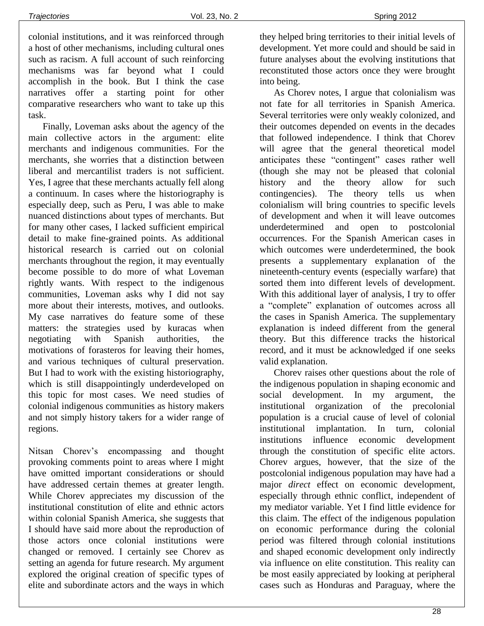colonial institutions, and it was reinforced through a host of other mechanisms, including cultural ones such as racism. A full account of such reinforcing mechanisms was far beyond what I could accomplish in the book. But I think the case narratives offer a starting point for other comparative researchers who want to take up this task.

Finally, Loveman asks about the agency of the main collective actors in the argument: elite merchants and indigenous communities. For the merchants, she worries that a distinction between liberal and mercantilist traders is not sufficient. Yes, I agree that these merchants actually fell along a continuum. In cases where the historiography is especially deep, such as Peru, I was able to make nuanced distinctions about types of merchants. But for many other cases, I lacked sufficient empirical detail to make fine-grained points. As additional historical research is carried out on colonial merchants throughout the region, it may eventually become possible to do more of what Loveman rightly wants. With respect to the indigenous communities, Loveman asks why I did not say more about their interests, motives, and outlooks. My case narratives do feature some of these matters: the strategies used by kuracas when negotiating with Spanish authorities, the motivations of forasteros for leaving their homes, and various techniques of cultural preservation. But I had to work with the existing historiography, which is still disappointingly underdeveloped on this topic for most cases. We need studies of colonial indigenous communities as history makers and not simply history takers for a wider range of regions.

Nitsan Chorev's encompassing and thought provoking comments point to areas where I might have omitted important considerations or should have addressed certain themes at greater length. While Chorev appreciates my discussion of the institutional constitution of elite and ethnic actors within colonial Spanish America, she suggests that I should have said more about the reproduction of those actors once colonial institutions were changed or removed. I certainly see Chorev as setting an agenda for future research. My argument explored the original creation of specific types of elite and subordinate actors and the ways in which they helped bring territories to their initial levels of development. Yet more could and should be said in future analyses about the evolving institutions that reconstituted those actors once they were brought into being.

As Chorev notes, I argue that colonialism was not fate for all territories in Spanish America. Several territories were only weakly colonized, and their outcomes depended on events in the decades that followed independence. I think that Chorev will agree that the general theoretical model anticipates these "contingent" cases rather well (though she may not be pleased that colonial history and the theory allow for such contingencies). The theory tells us when colonialism will bring countries to specific levels of development and when it will leave outcomes underdetermined and open to postcolonial occurrences. For the Spanish American cases in which outcomes were underdetermined, the book presents a supplementary explanation of the nineteenth-century events (especially warfare) that sorted them into different levels of development. With this additional layer of analysis, I try to offer a "complete" explanation of outcomes across all the cases in Spanish America. The supplementary explanation is indeed different from the general theory. But this difference tracks the historical record, and it must be acknowledged if one seeks valid explanation.

Chorev raises other questions about the role of the indigenous population in shaping economic and social development. In my argument, the institutional organization of the precolonial population is a crucial cause of level of colonial institutional implantation. In turn, colonial institutions influence economic development through the constitution of specific elite actors. Chorev argues, however, that the size of the postcolonial indigenous population may have had a major *direct* effect on economic development, especially through ethnic conflict, independent of my mediator variable. Yet I find little evidence for this claim. The effect of the indigenous population on economic performance during the colonial period was filtered through colonial institutions and shaped economic development only indirectly via influence on elite constitution. This reality can be most easily appreciated by looking at peripheral cases such as Honduras and Paraguay, where the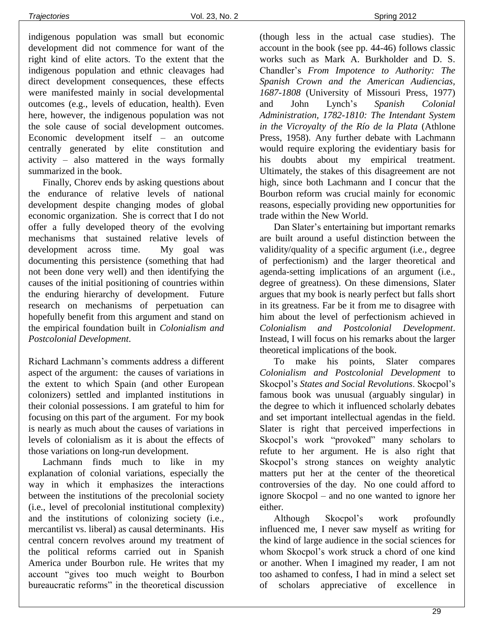indigenous population was small but economic development did not commence for want of the right kind of elite actors. To the extent that the indigenous population and ethnic cleavages had direct development consequences, these effects were manifested mainly in social developmental outcomes (e.g., levels of education, health). Even here, however, the indigenous population was not the sole cause of social development outcomes. Economic development itself – an outcome centrally generated by elite constitution and activity – also mattered in the ways formally summarized in the book.

Finally, Chorev ends by asking questions about the endurance of relative levels of national development despite changing modes of global economic organization. She is correct that I do not offer a fully developed theory of the evolving mechanisms that sustained relative levels of development across time. My goal was documenting this persistence (something that had not been done very well) and then identifying the causes of the initial positioning of countries within the enduring hierarchy of development. Future research on mechanisms of perpetuation can hopefully benefit from this argument and stand on the empirical foundation built in *Colonialism and Postcolonial Development*.

Richard Lachmann's comments address a different aspect of the argument: the causes of variations in the extent to which Spain (and other European colonizers) settled and implanted institutions in their colonial possessions. I am grateful to him for focusing on this part of the argument. For my book is nearly as much about the causes of variations in levels of colonialism as it is about the effects of those variations on long-run development.

Lachmann finds much to like in my explanation of colonial variations, especially the way in which it emphasizes the interactions between the institutions of the precolonial society (i.e., level of precolonial institutional complexity) and the institutions of colonizing society (i.e., mercantilist vs. liberal) as causal determinants. His central concern revolves around my treatment of the political reforms carried out in Spanish America under Bourbon rule. He writes that my account "gives too much weight to Bourbon bureaucratic reforms" in the theoretical discussion

(though less in the actual case studies). The account in the book (see pp. 44-46) follows classic works such as Mark A. Burkholder and D. S. Chandler's *From Impotence to Authority: The Spanish Crown and the American Audiencias, 1687-1808* (University of Missouri Press, 1977) and John Lynch's *Spanish Colonial Administration, 1782-1810: The Intendant System in the Vicroyalty of the Río de la Plata* (Athlone Press, 1958). Any further debate with Lachmann would require exploring the evidentiary basis for his doubts about my empirical treatment. Ultimately, the stakes of this disagreement are not high, since both Lachmann and I concur that the Bourbon reform was crucial mainly for economic reasons, especially providing new opportunities for trade within the New World.

Dan Slater's entertaining but important remarks are built around a useful distinction between the validity/quality of a specific argument (i.e., degree of perfectionism) and the larger theoretical and agenda-setting implications of an argument (i.e., degree of greatness). On these dimensions, Slater argues that my book is nearly perfect but falls short in its greatness. Far be it from me to disagree with him about the level of perfectionism achieved in *Colonialism and Postcolonial Development*. Instead, I will focus on his remarks about the larger theoretical implications of the book.

To make his points, Slater compares *Colonialism and Postcolonial Development* to Skocpol's *States and Social Revolutions*. Skocpol's famous book was unusual (arguably singular) in the degree to which it influenced scholarly debates and set important intellectual agendas in the field. Slater is right that perceived imperfections in Skocpol's work "provoked" many scholars to refute to her argument. He is also right that Skocpol's strong stances on weighty analytic matters put her at the center of the theoretical controversies of the day. No one could afford to ignore Skocpol – and no one wanted to ignore her either.

Although Skocpol's work profoundly influenced me, I never saw myself as writing for the kind of large audience in the social sciences for whom Skocpol's work struck a chord of one kind or another. When I imagined my reader, I am not too ashamed to confess, I had in mind a select set of scholars appreciative of excellence in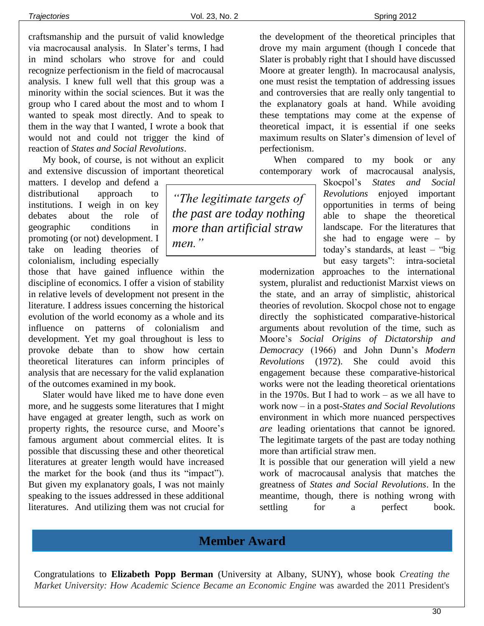craftsmanship and the pursuit of valid knowledge via macrocausal analysis. In Slater's terms, I had in mind scholars who strove for and could recognize perfectionism in the field of macrocausal analysis. I knew full well that this group was a minority within the social sciences. But it was the group who I cared about the most and to whom I wanted to speak most directly. And to speak to them in the way that I wanted, I wrote a book that would not and could not trigger the kind of reaction of *States and Social Revolutions*.

My book, of course, is not without an explicit and extensive discussion of important theoretical

matters. I develop and defend a distributional approach to institutions. I weigh in on key debates about the role of geographic conditions in promoting (or not) development. I take on leading theories of colonialism, including especially

those that have gained influence within the discipline of economics. I offer a vision of stability in relative levels of development not present in the literature. I address issues concerning the historical evolution of the world economy as a whole and its influence on patterns of colonialism and development. Yet my goal throughout is less to provoke debate than to show how certain theoretical literatures can inform principles of analysis that are necessary for the valid explanation of the outcomes examined in my book.

Slater would have liked me to have done even more, and he suggests some literatures that I might have engaged at greater length, such as work on property rights, the resource curse, and Moore's famous argument about commercial elites. It is possible that discussing these and other theoretical literatures at greater length would have increased the market for the book (and thus its "impact"). But given my explanatory goals, I was not mainly speaking to the issues addressed in these additional literatures. And utilizing them was not crucial for

*"The legitimate targets of the past are today nothing more than artificial straw men."*

the development of the theoretical principles that drove my main argument (though I concede that Slater is probably right that I should have discussed Moore at greater length). In macrocausal analysis, one must resist the temptation of addressing issues and controversies that are really only tangential to the explanatory goals at hand. While avoiding these temptations may come at the expense of theoretical impact, it is essential if one seeks maximum results on Slater's dimension of level of perfectionism.

When compared to my book or any contemporary work of macrocausal analysis,

Skocpol's *States and Social Revolutions* enjoyed important opportunities in terms of being able to shape the theoretical landscape. For the literatures that she had to engage were  $-$  by today's standards, at least – "big but easy targets": intra-societal

modernization approaches to the international system, pluralist and reductionist Marxist views on the state, and an array of simplistic, ahistorical theories of revolution. Skocpol chose not to engage directly the sophisticated comparative-historical arguments about revolution of the time, such as Moore's *Social Origins of Dictatorship and Democracy* (1966) and John Dunn's *Modern Revolutions* (1972). She could avoid this engagement because these comparative-historical works were not the leading theoretical orientations in the 1970s. But I had to work – as we all have to work now – in a post-*States and Social Revolutions* environment in which more nuanced perspectives *are* leading orientations that cannot be ignored. The legitimate targets of the past are today nothing more than artificial straw men.

It is possible that our generation will yield a new work of macrocausal analysis that matches the greatness of *States and Social Revolutions*. In the meantime, though, there is nothing wrong with settling for a perfect book.

# **Member Award**

Congratulations to **Elizabeth Popp Berman** (University at Albany, SUNY), whose book *Creating the Market University: How Academic Science Became an Economic Engine* was awarded the 2011 President's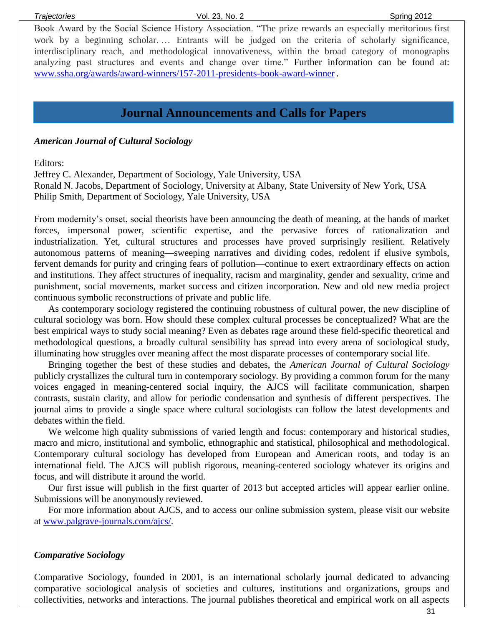Book Award by the Social Science History Association. "The prize rewards an especially meritorious first work by a beginning scholar. … Entrants will be judged on the criteria of scholarly significance, interdisciplinary reach, and methodological innovativeness, within the broad category of monographs analyzing past structures and events and change over time." Further information can be found at: [www.ssha.org/awards/award-winners/157-2011-presidents-book-award-winner](http://www.ssha.org/awards/award-winners/157-2011-presidents-book-award-winner).

# **Journal Announcements and Calls for Papers Member Publications**

#### *American Journal of Cultural Sociology*

Editors:

Jeffrey C. Alexander, Department of Sociology, Yale University, USA Ronald N. Jacobs, Department of Sociology, University at Albany, State University of New York, USA Philip Smith, Department of Sociology, Yale University, USA

From modernity's onset, social theorists have been announcing the death of meaning, at the hands of market forces, impersonal power, scientific expertise, and the pervasive forces of rationalization and industrialization. Yet, cultural structures and processes have proved surprisingly resilient. Relatively autonomous patterns of meaning—sweeping narratives and dividing codes, redolent if elusive symbols, fervent demands for purity and cringing fears of pollution—continue to exert extraordinary effects on action and institutions. They affect structures of inequality, racism and marginality, gender and sexuality, crime and punishment, social movements, market success and citizen incorporation. New and old new media project continuous symbolic reconstructions of private and public life.

As contemporary sociology registered the continuing robustness of cultural power, the new discipline of cultural sociology was born. How should these complex cultural processes be conceptualized? What are the best empirical ways to study social meaning? Even as debates rage around these field-specific theoretical and methodological questions, a broadly cultural sensibility has spread into every arena of sociological study, illuminating how struggles over meaning affect the most disparate processes of contemporary social life.

Bringing together the best of these studies and debates, the *American Journal of Cultural Sociology* publicly crystallizes the cultural turn in contemporary sociology. By providing a common forum for the many voices engaged in meaning-centered social inquiry, the AJCS will facilitate communication, sharpen contrasts, sustain clarity, and allow for periodic condensation and synthesis of different perspectives. The journal aims to provide a single space where cultural sociologists can follow the latest developments and debates within the field.

We welcome high quality submissions of varied length and focus: contemporary and historical studies, macro and micro, institutional and symbolic, ethnographic and statistical, philosophical and methodological. Contemporary cultural sociology has developed from European and American roots, and today is an international field. The AJCS will publish rigorous, meaning-centered sociology whatever its origins and focus, and will distribute it around the world.

Our first issue will publish in the first quarter of 2013 but accepted articles will appear earlier online. Submissions will be anonymously reviewed.

For more information about AJCS, and to access our online submission system, please visit our website at [www.palgrave-journals.com/ajcs/.](http://www.palgrave-journals.com/ajcs/)

#### *Comparative Sociology*

Comparative Sociology, founded in 2001, is an international scholarly journal dedicated to advancing comparative sociological analysis of societies and cultures, institutions and organizations, groups and collectivities, networks and interactions. The journal publishes theoretical and empirical work on all aspects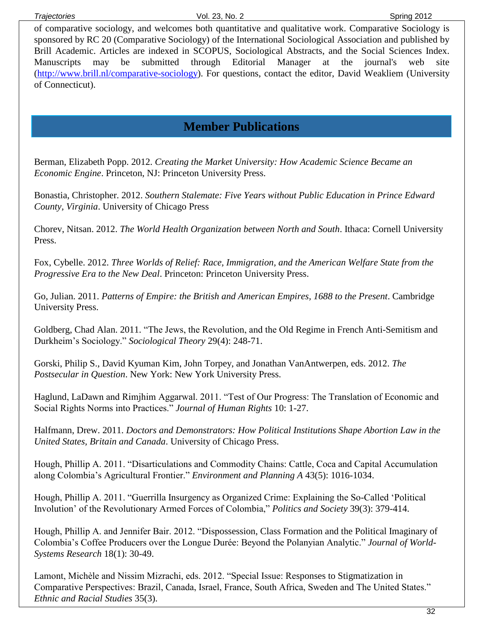of comparative sociology, and welcomes both quantitative and qualitative work. Comparative Sociology is sponsored by RC 20 (Comparative Sociology) of the International Sociological Association and published by Brill Academic. Articles are indexed in SCOPUS, Sociological Abstracts, and the Social Sciences Index. Manuscripts may be submitted through Editorial Manager at the journal's web site [\(http://www.brill.nl/comparative-sociology\)](http://www.brill.nl/comparative-sociology). For questions, contact the editor, David Weakliem (University of Connecticut).

# **Member Publications**

Berman, Elizabeth Popp. 2012. *Creating the Market University: How Academic Science Became an Economic Engine*. Princeton, NJ: Princeton University Press.

Bonastia, Christopher. 2012. *Southern Stalemate: Five Years without Public Education in Prince Edward County, Virginia*. University of Chicago Press

Chorev, Nitsan. 2012. *The World Health Organization between North and South*. Ithaca: Cornell University Press.

Fox, Cybelle. 2012. *Three Worlds of Relief: Race, Immigration, and the American Welfare State from the Progressive Era to the New Deal*. Princeton: Princeton University Press.

Go, Julian. 2011. *Patterns of Empire: the British and American Empires, 1688 to the Present*. Cambridge University Press.

Goldberg, Chad Alan. 2011. "The Jews, the Revolution, and the Old Regime in French Anti-Semitism and Durkheim's Sociology." *Sociological Theory* 29(4): 248-71.

Gorski, Philip S., David Kyuman Kim, John Torpey, and Jonathan VanAntwerpen, eds. 2012. *The Postsecular in Question*. New York: New York University Press.

Haglund, LaDawn and Rimjhim Aggarwal. 2011. "Test of Our Progress: The Translation of Economic and Social Rights Norms into Practices." *Journal of Human Rights* 10: 1-27.

Halfmann, Drew. 2011. *Doctors and Demonstrators: How Political Institutions Shape Abortion Law in the United States, Britain and Canada*. University of Chicago Press.

Hough, Phillip A. 2011. "Disarticulations and Commodity Chains: Cattle, Coca and Capital Accumulation along Colombia's Agricultural Frontier." *Environment and Planning A* 43(5): 1016-1034.

Hough, Phillip A. 2011. "Guerrilla Insurgency as Organized Crime: Explaining the So-Called 'Political Involution' of the Revolutionary Armed Forces of Colombia," *Politics and Society* 39(3): 379-414.

Hough, Phillip A. and Jennifer Bair. 2012. "Dispossession, Class Formation and the Political Imaginary of Colombia's Coffee Producers over the Longue Durée: Beyond the Polanyian Analytic." *Journal of World-Systems Research* 18(1): 30-49.

Lamont, Michèle and Nissim Mizrachi, eds. 2012. "Special Issue: Responses to Stigmatization in Comparative Perspectives: Brazil, Canada, Israel, France, South Africa, Sweden and The United States." *Ethnic and Racial Studies* 35(3).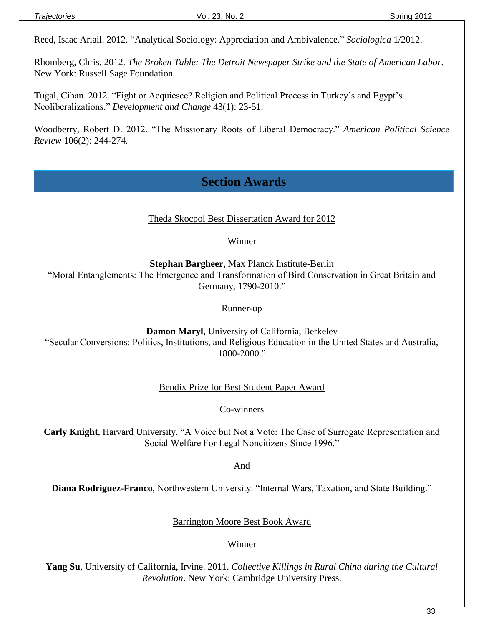Reed, Isaac Ariail. 2012. "Analytical Sociology: Appreciation and Ambivalence." *Sociologica* 1/2012.

Rhomberg, Chris. 2012. *The Broken Table: The Detroit Newspaper Strike and the State of American Labor*. New York: Russell Sage Foundation.

Tuğal, Cihan. 2012. "Fight or Acquiesce? Religion and Political Process in Turkey's and Egypt's Neoliberalizations." *Development and Change* 43(1): 23-51.

Woodberry, Robert D. 2012. "The Missionary Roots of Liberal Democracy." *American Political Science Review* 106(2): 244-274*.*

# **Section Awards**

Theda Skocpol Best Dissertation Award for 2012

Winner

**Stephan Bargheer**, Max Planck Institute-Berlin

"Moral Entanglements: The Emergence and Transformation of Bird Conservation in Great Britain and Germany, 1790-2010."

Runner-up

**Damon Maryl**, University of California, Berkeley "Secular Conversions: Politics, Institutions, and Religious Education in the United States and Australia, 1800-2000."

Bendix Prize for Best Student Paper Award

Co-winners

**Carly Knight**, Harvard University. "A Voice but Not a Vote: The Case of Surrogate Representation and Social Welfare For Legal Noncitizens Since 1996."

And

**Diana Rodriguez-Franco**, Northwestern University. "Internal Wars, Taxation, and State Building."

Barrington Moore Best Book Award

Winner

**Yang Su**, University of California, Irvine. 2011. *Collective Killings in Rural China during the Cultural Revolution*. New York: Cambridge University Press.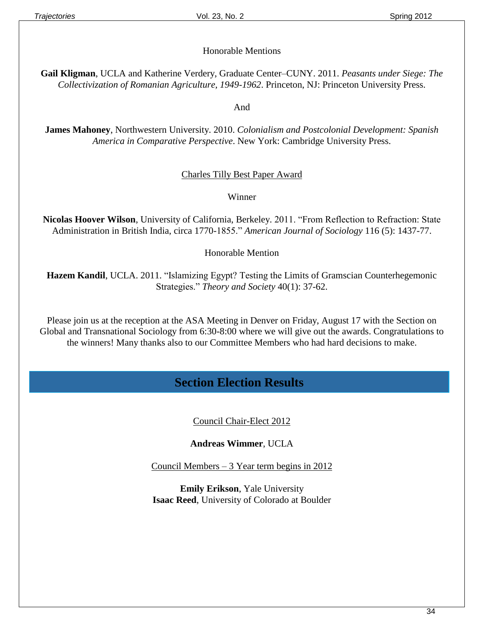#### Honorable Mentions

**Gail Kligman**, UCLA and Katherine Verdery, Graduate Center–CUNY. 2011. *Peasants under Siege: The Collectivization of Romanian Agriculture, 1949-1962*. Princeton, NJ: Princeton University Press.

And

**James Mahoney**, Northwestern University. 2010. *Colonialism and Postcolonial Development: Spanish America in Comparative Perspective*. New York: Cambridge University Press.

#### Charles Tilly Best Paper Award

Winner

**Nicolas Hoover Wilson**, University of California, Berkeley. 2011. "From Reflection to Refraction: State Administration in British India, circa 1770-1855." *American Journal of Sociology* 116 (5): 1437-77.

Honorable Mention

**Hazem Kandil**, UCLA. 2011. "Islamizing Egypt? Testing the Limits of Gramscian Counterhegemonic Strategies." *Theory and Society* 40(1): 37-62.

Please join us at the reception at the ASA Meeting in Denver on Friday, August 17 with the Section on Global and Transnational Sociology from 6:30-8:00 where we will give out the awards. Congratulations to the winners! Many thanks also to our Committee Members who had hard decisions to make.

# **Section Election Results**

Council Chair-Elect 2012

**Andreas Wimmer**, UCLA

Council Members – 3 Year term begins in 2012

**Emily Erikson**, Yale University **Isaac Reed**, University of Colorado at Boulder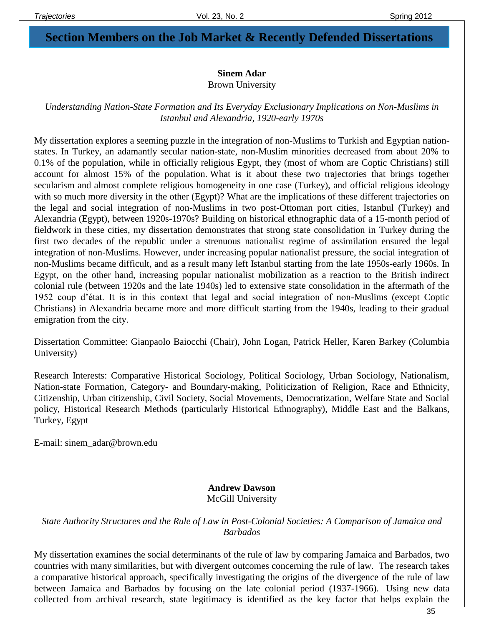# **Section Members on the Job Market & Recently Defended Dissertations**

#### **Sinem Adar**

Brown University

#### *Understanding Nation-State Formation and Its Everyday Exclusionary Implications on Non-Muslims in Istanbul and Alexandria, 1920-early 1970s*

My dissertation explores a seeming puzzle in the integration of non-Muslims to Turkish and Egyptian nationstates. In Turkey, an adamantly secular nation-state, non-Muslim minorities decreased from about 20% to 0.1% of the population, while in officially religious Egypt, they (most of whom are Coptic Christians) still account for almost 15% of the population. What is it about these two trajectories that brings together secularism and almost complete religious homogeneity in one case (Turkey), and official religious ideology with so much more diversity in the other (Egypt)? What are the implications of these different trajectories on the legal and social integration of non-Muslims in two post-Ottoman port cities, Istanbul (Turkey) and Alexandria (Egypt), between 1920s-1970s? Building on historical ethnographic data of a 15-month period of fieldwork in these cities, my dissertation demonstrates that strong state consolidation in Turkey during the first two decades of the republic under a strenuous nationalist regime of assimilation ensured the legal integration of non-Muslims. However, under increasing popular nationalist pressure, the social integration of non-Muslims became difficult, and as a result many left Istanbul starting from the late 1950s-early 1960s. In Egypt, on the other hand, increasing popular nationalist mobilization as a reaction to the British indirect colonial rule (between 1920s and the late 1940s) led to extensive state consolidation in the aftermath of the 1952 coup d'état. It is in this context that legal and social integration of non-Muslims (except Coptic Christians) in Alexandria became more and more difficult starting from the 1940s, leading to their gradual emigration from the city.

Dissertation Committee: Gianpaolo Baiocchi (Chair), John Logan, Patrick Heller, Karen Barkey (Columbia University)

Research Interests: Comparative Historical Sociology, Political Sociology, Urban Sociology, Nationalism, Nation-state Formation, Category- and Boundary-making, Politicization of Religion, Race and Ethnicity, Citizenship, Urban citizenship, Civil Society, Social Movements, Democratization, Welfare State and Social policy, Historical Research Methods (particularly Historical Ethnography), Middle East and the Balkans, Turkey, Egypt

E-mail: sinem\_adar@brown.edu

#### **Andrew Dawson** McGill University

*State Authority Structures and the Rule of Law in Post-Colonial Societies: A Comparison of Jamaica and Barbados*

My dissertation examines the social determinants of the rule of law by comparing Jamaica and Barbados, two countries with many similarities, but with divergent outcomes concerning the rule of law. The research takes a comparative historical approach, specifically investigating the origins of the divergence of the rule of law between Jamaica and Barbados by focusing on the late colonial period (1937-1966). Using new data collected from archival research, state legitimacy is identified as the key factor that helps explain the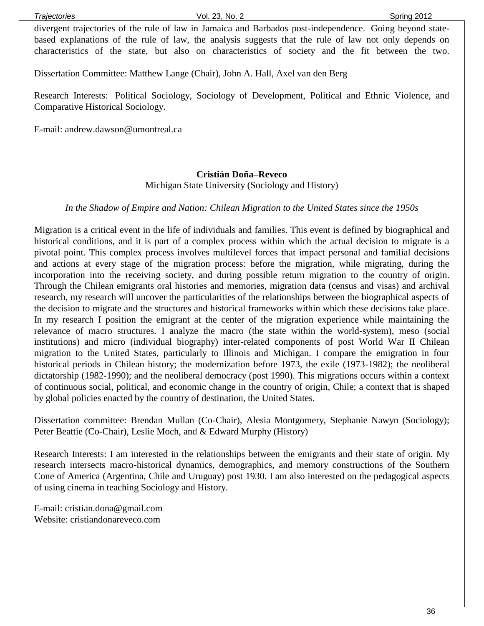divergent trajectories of the rule of law in Jamaica and Barbados post-independence. Going beyond statebased explanations of the rule of law, the analysis suggests that the rule of law not only depends on characteristics of the state, but also on characteristics of society and the fit between the two.

Dissertation Committee: Matthew Lange (Chair), John A. Hall, Axel van den Berg

Research Interests: Political Sociology, Sociology of Development, Political and Ethnic Violence, and Comparative Historical Sociology.

E-mail: [andrew.dawson@umontreal.ca](mailto:andrew.dawson@umontreal.ca)

#### **Cristián Doña–Reveco**

Michigan State University (Sociology and History)

#### *In the Shadow of Empire and Nation: Chilean Migration to the United States since the 1950s*

Migration is a critical event in the life of individuals and families. This event is defined by biographical and historical conditions, and it is part of a complex process within which the actual decision to migrate is a pivotal point. This complex process involves multilevel forces that impact personal and familial decisions and actions at every stage of the migration process: before the migration, while migrating, during the incorporation into the receiving society, and during possible return migration to the country of origin. Through the Chilean emigrants oral histories and memories, migration data (census and visas) and archival research, my research will uncover the particularities of the relationships between the biographical aspects of the decision to migrate and the structures and historical frameworks within which these decisions take place. In my research I position the emigrant at the center of the migration experience while maintaining the relevance of macro structures. I analyze the macro (the state within the world-system), meso (social institutions) and micro (individual biography) inter-related components of post World War II Chilean migration to the United States, particularly to Illinois and Michigan. I compare the emigration in four historical periods in Chilean history; the modernization before 1973, the exile (1973-1982); the neoliberal dictatorship (1982-1990); and the neoliberal democracy (post 1990). This migrations occurs within a context of continuous social, political, and economic change in the country of origin, Chile; a context that is shaped by global policies enacted by the country of destination, the United States.

Dissertation committee: Brendan Mullan (Co-Chair), Alesia Montgomery, Stephanie Nawyn (Sociology); Peter Beattie (Co-Chair), Leslie Moch, and & Edward Murphy (History)

Research Interests: I am interested in the relationships between the emigrants and their state of origin. My research intersects macro-historical dynamics, demographics, and memory constructions of the Southern Cone of America (Argentina, Chile and Uruguay) post 1930. I am also interested on the pedagogical aspects of using cinema in teaching Sociology and History.

E-mail: cristian.dona@gmail.com Website: cristiandonareveco.com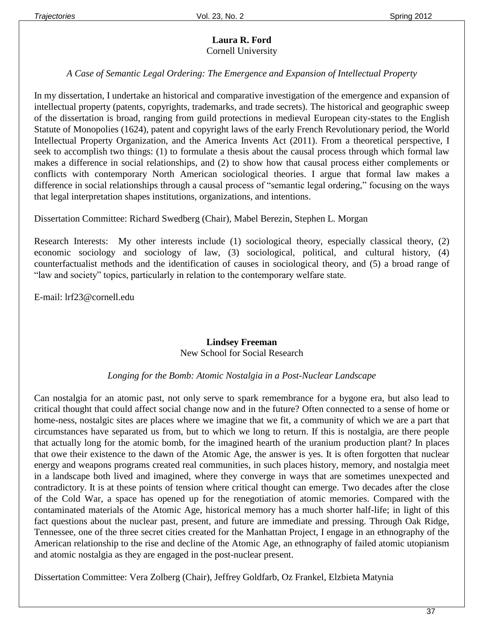#### **Laura R. Ford** Cornell University

#### *A Case of Semantic Legal Ordering: The Emergence and Expansion of Intellectual Property*

In my dissertation, I undertake an historical and comparative investigation of the emergence and expansion of intellectual property (patents, copyrights, trademarks, and trade secrets). The historical and geographic sweep of the dissertation is broad, ranging from guild protections in medieval European city-states to the English Statute of Monopolies (1624), patent and copyright laws of the early French Revolutionary period, the World Intellectual Property Organization, and the America Invents Act (2011). From a theoretical perspective, I seek to accomplish two things: (1) to formulate a thesis about the causal process through which formal law makes a difference in social relationships, and (2) to show how that causal process either complements or conflicts with contemporary North American sociological theories. I argue that formal law makes a difference in social relationships through a causal process of "semantic legal ordering," focusing on the ways that legal interpretation shapes institutions, organizations, and intentions.

Dissertation Committee: Richard Swedberg (Chair), Mabel Berezin, Stephen L. Morgan

Research Interests: My other interests include (1) sociological theory, especially classical theory, (2) economic sociology and sociology of law, (3) sociological, political, and cultural history, (4) counterfactualist methods and the identification of causes in sociological theory, and (5) a broad range of "law and society" topics, particularly in relation to the contemporary welfare state.

E-mail: lrf23@cornell.edu

#### **Lindsey Freeman** New School for Social Research

#### *Longing for the Bomb: Atomic Nostalgia in a Post-Nuclear Landscape*

Can nostalgia for an atomic past, not only serve to spark remembrance for a bygone era, but also lead to critical thought that could affect social change now and in the future? Often connected to a sense of home or home-ness, nostalgic sites are places where we imagine that we fit, a community of which we are a part that circumstances have separated us from, but to which we long to return. If this is nostalgia, are there people that actually long for the atomic bomb, for the imagined hearth of the uranium production plant? In places that owe their existence to the dawn of the Atomic Age, the answer is yes. It is often forgotten that nuclear energy and weapons programs created real communities, in such places history, memory, and nostalgia meet in a landscape both lived and imagined, where they converge in ways that are sometimes unexpected and contradictory. It is at these points of tension where critical thought can emerge. Two decades after the close of the Cold War, a space has opened up for the renegotiation of atomic memories. Compared with the contaminated materials of the Atomic Age, historical memory has a much shorter half-life; in light of this fact questions about the nuclear past, present, and future are immediate and pressing. Through Oak Ridge, Tennessee, one of the three secret cities created for the Manhattan Project, I engage in an ethnography of the American relationship to the rise and decline of the Atomic Age, an ethnography of failed atomic utopianism and atomic nostalgia as they are engaged in the post-nuclear present.

Dissertation Committee: Vera Zolberg (Chair), Jeffrey Goldfarb, Oz Frankel, Elzbieta Matynia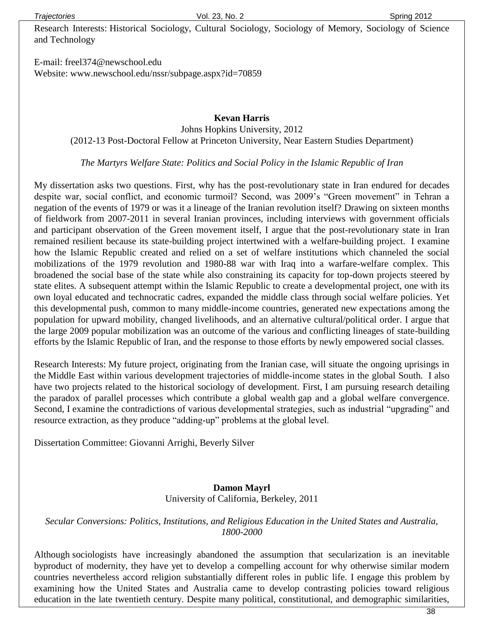**Trajectories** Spring 2012 **Vol. 23, No. 2** Spring 2012

Research Interests: Historical Sociology, Cultural Sociology, Sociology of Memory, Sociology of Science and Technology

E-mail: freel374@newschool.edu Website: www.newschool.edu/nssr/subpage.aspx?id=70859

> **Kevan Harris** Johns Hopkins University, 2012 (2012-13 Post-Doctoral Fellow at Princeton University, Near Eastern Studies Department)

*The Martyrs Welfare State: Politics and Social Policy in the Islamic Republic of Iran*

My dissertation asks two questions. First, why has the post-revolutionary state in Iran endured for decades despite war, social conflict, and economic turmoil? Second, was 2009's "Green movement" in Tehran a negation of the events of 1979 or was it a lineage of the Iranian revolution itself? Drawing on sixteen months of fieldwork from 2007-2011 in several Iranian provinces, including interviews with government officials and participant observation of the Green movement itself, I argue that the post-revolutionary state in Iran remained resilient because its state-building project intertwined with a welfare-building project. I examine how the Islamic Republic created and relied on a set of welfare institutions which channeled the social mobilizations of the 1979 revolution and 1980-88 war with Iraq into a warfare-welfare complex. This broadened the social base of the state while also constraining its capacity for top-down projects steered by state elites. A subsequent attempt within the Islamic Republic to create a developmental project, one with its own loyal educated and technocratic cadres, expanded the middle class through social welfare policies. Yet this developmental push, common to many middle-income countries, generated new expectations among the population for upward mobility, changed livelihoods, and an alternative cultural/political order. I argue that the large 2009 popular mobilization was an outcome of the various and conflicting lineages of state-building efforts by the Islamic Republic of Iran, and the response to those efforts by newly empowered social classes.

Research Interests: My future project, originating from the Iranian case, will situate the ongoing uprisings in the Middle East within various development trajectories of middle-income states in the global South. I also have two projects related to the historical sociology of development. First, I am pursuing research detailing the paradox of parallel processes which contribute a global wealth gap and a global welfare convergence. Second, I examine the contradictions of various developmental strategies, such as industrial "upgrading" and resource extraction, as they produce "adding-up" problems at the global level.

Dissertation Committee: Giovanni Arrighi, Beverly Silver

#### **Damon Mayrl** University of California, Berkeley, 2011

#### *Secular Conversions: Politics, Institutions, and Religious Education in the United States and Australia, 1800-2000*

Although sociologists have increasingly abandoned the assumption that secularization is an inevitable byproduct of modernity, they have yet to develop a compelling account for why otherwise similar modern countries nevertheless accord religion substantially different roles in public life. I engage this problem by examining how the United States and Australia came to develop contrasting policies toward religious education in the late twentieth century. Despite many political, constitutional, and demographic similarities,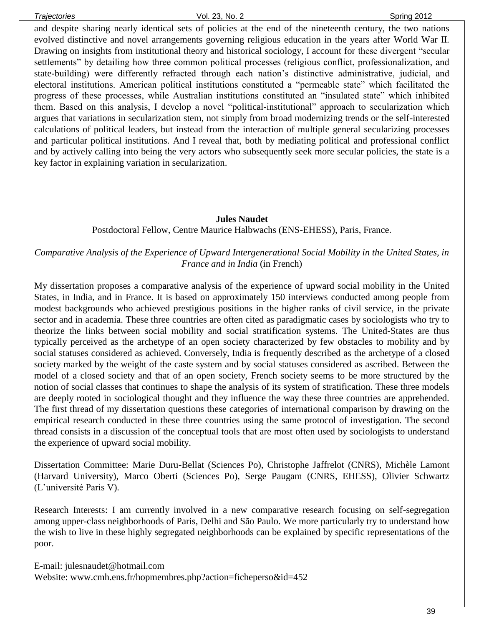and despite sharing nearly identical sets of policies at the end of the nineteenth century, the two nations evolved distinctive and novel arrangements governing religious education in the years after World War II. Drawing on insights from institutional theory and historical sociology, I account for these divergent "secular settlements" by detailing how three common political processes (religious conflict, professionalization, and state-building) were differently refracted through each nation's distinctive administrative, judicial, and electoral institutions. American political institutions constituted a "permeable state" which facilitated the progress of these processes, while Australian institutions constituted an "insulated state" which inhibited them. Based on this analysis, I develop a novel "political-institutional" approach to secularization which argues that variations in secularization stem, not simply from broad modernizing trends or the self-interested calculations of political leaders, but instead from the interaction of multiple general secularizing processes and particular political institutions. And I reveal that, both by mediating political and professional conflict and by actively calling into being the very actors who subsequently seek more secular policies, the state is a key factor in explaining variation in secularization.

#### **Jules Naudet**

Postdoctoral Fellow, Centre Maurice Halbwachs (ENS-EHESS), Paris, France.

*Comparative Analysis of the Experience of Upward Intergenerational Social Mobility in the United States, in France and in India* (in French)

My dissertation proposes a comparative analysis of the experience of upward social mobility in the United States, in India, and in France. It is based on approximately 150 interviews conducted among people from modest backgrounds who achieved prestigious positions in the higher ranks of civil service, in the private sector and in academia. These three countries are often cited as paradigmatic cases by sociologists who try to theorize the links between social mobility and social stratification systems. The United-States are thus typically perceived as the archetype of an open society characterized by few obstacles to mobility and by social statuses considered as achieved. Conversely, India is frequently described as the archetype of a closed society marked by the weight of the caste system and by social statuses considered as ascribed. Between the model of a closed society and that of an open society, French society seems to be more structured by the notion of social classes that continues to shape the analysis of its system of stratification. These three models are deeply rooted in sociological thought and they influence the way these three countries are apprehended. The first thread of my dissertation questions these categories of international comparison by drawing on the empirical research conducted in these three countries using the same protocol of investigation. The second thread consists in a discussion of the conceptual tools that are most often used by sociologists to understand the experience of upward social mobility.

Dissertation Committee: Marie Duru-Bellat (Sciences Po), Christophe Jaffrelot (CNRS), Michèle Lamont (Harvard University), Marco Oberti (Sciences Po), Serge Paugam (CNRS, EHESS), Olivier Schwartz (L'université Paris V).

Research Interests: I am currently involved in a new comparative research focusing on self-segregation among upper-class neighborhoods of Paris, Delhi and São Paulo. We more particularly try to understand how the wish to live in these highly segregated neighborhoods can be explained by specific representations of the poor.

E-mail: julesnaudet@hotmail.com Website: www.cmh.ens.fr/hopmembres.php?action=ficheperso&id=452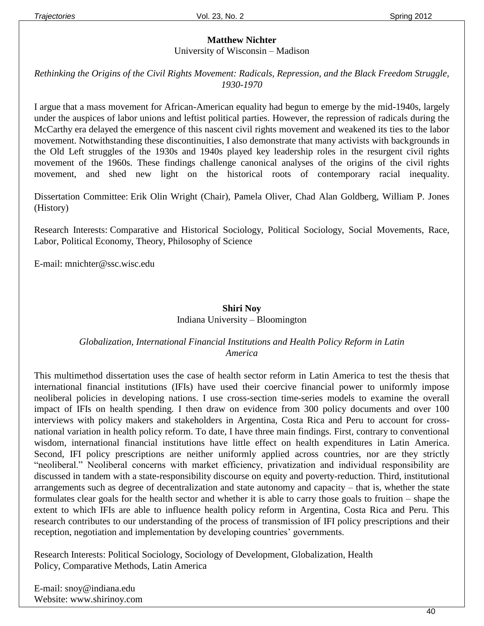#### **Matthew Nichter**

University of Wisconsin – Madison

#### *Rethinking the Origins of the Civil Rights Movement: Radicals, Repression, and the Black Freedom Struggle, 1930-1970*

I argue that a mass movement for African-American equality had begun to emerge by the mid-1940s, largely under the auspices of labor unions and leftist political parties. However, the repression of radicals during the McCarthy era delayed the emergence of this nascent civil rights movement and weakened its ties to the labor movement. Notwithstanding these discontinuities, I also demonstrate that many activists with backgrounds in the Old Left struggles of the 1930s and 1940s played key leadership roles in the resurgent civil rights movement of the 1960s. These findings challenge canonical analyses of the origins of the civil rights movement, and shed new light on the historical roots of contemporary racial inequality.

Dissertation Committee: Erik Olin Wright (Chair), Pamela Oliver, Chad Alan Goldberg, William P. Jones (History)

Research Interests: Comparative and Historical Sociology, Political Sociology, Social Movements, Race, Labor, Political Economy, Theory, Philosophy of Science

E-mail: [mnichter@ssc.wisc.edu](mailto:mnichter@ssc.wisc.edu)

#### **Shiri Noy** Indiana University – Bloomington

#### *Globalization, International Financial Institutions and Health Policy Reform in Latin America*

This multimethod dissertation uses the case of health sector reform in Latin America to test the thesis that international financial institutions (IFIs) have used their coercive financial power to uniformly impose neoliberal policies in developing nations. I use cross-section time-series models to examine the overall impact of IFIs on health spending. I then draw on evidence from 300 policy documents and over 100 interviews with policy makers and stakeholders in Argentina, Costa Rica and Peru to account for crossnational variation in health policy reform. To date, I have three main findings. First, contrary to conventional wisdom, international financial institutions have little effect on health expenditures in Latin America. Second, IFI policy prescriptions are neither uniformly applied across countries, nor are they strictly "neoliberal." Neoliberal concerns with market efficiency, privatization and individual responsibility are discussed in tandem with a state-responsibility discourse on equity and poverty-reduction. Third, institutional arrangements such as degree of decentralization and state autonomy and capacity – that is, whether the state formulates clear goals for the health sector and whether it is able to carry those goals to fruition – shape the extent to which IFIs are able to influence health policy reform in Argentina, Costa Rica and Peru. This research contributes to our understanding of the process of transmission of IFI policy prescriptions and their reception, negotiation and implementation by developing countries' governments.

Research Interests: Political Sociology, Sociology of Development, Globalization, Health Policy, Comparative Methods, Latin America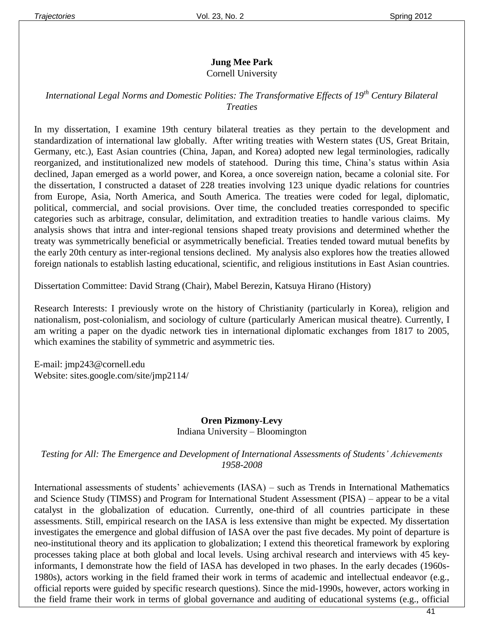#### **Jung Mee Park**

#### Cornell University

#### *International Legal Norms and Domestic Polities: The Transformative Effects of 19th Century Bilateral Treaties*

In my dissertation, I examine 19th century bilateral treaties as they pertain to the development and standardization of international law globally. After writing treaties with Western states (US, Great Britain, Germany, etc.), East Asian countries (China, Japan, and Korea) adopted new legal terminologies, radically reorganized, and institutionalized new models of statehood. During this time, China's status within Asia declined, Japan emerged as a world power, and Korea, a once sovereign nation, became a colonial site. For the dissertation, I constructed a dataset of 228 treaties involving 123 unique dyadic relations for countries from Europe, Asia, North America, and South America. The treaties were coded for legal, diplomatic, political, commercial, and social provisions. Over time, the concluded treaties corresponded to specific categories such as arbitrage, consular, delimitation, and extradition treaties to handle various claims. My analysis shows that intra and inter-regional tensions shaped treaty provisions and determined whether the treaty was symmetrically beneficial or asymmetrically beneficial. Treaties tended toward mutual benefits by the early 20th century as inter-regional tensions declined. My analysis also explores how the treaties allowed foreign nationals to establish lasting educational, scientific, and religious institutions in East Asian countries.

Dissertation Committee: David Strang (Chair), Mabel Berezin, Katsuya Hirano (History)

Research Interests: I previously wrote on the history of Christianity (particularly in Korea), religion and nationalism, post-colonialism, and sociology of culture (particularly American musical theatre). Currently, I am writing a paper on the dyadic network ties in international diplomatic exchanges from 1817 to 2005, which examines the stability of symmetric and asymmetric ties.

E-mail: jmp243@cornell.edu Website: [sites.google.com/site/jmp2114/](https://sites.google.com/site/jmp2114/)

#### **Oren Pizmony-Levy** Indiana University – Bloomington

*Testing for All: The Emergence and Development of International Assessments of Students' Achievements 1958-2008*

International assessments of students' achievements (IASA) – such as Trends in International Mathematics and Science Study (TIMSS) and Program for International Student Assessment (PISA) – appear to be a vital catalyst in the globalization of education. Currently, one-third of all countries participate in these assessments. Still, empirical research on the IASA is less extensive than might be expected. My dissertation investigates the emergence and global diffusion of IASA over the past five decades. My point of departure is neo-institutional theory and its application to globalization; I extend this theoretical framework by exploring processes taking place at both global and local levels. Using archival research and interviews with 45 keyinformants, I demonstrate how the field of IASA has developed in two phases. In the early decades (1960s-1980s), actors working in the field framed their work in terms of academic and intellectual endeavor (e.g., official reports were guided by specific research questions). Since the mid-1990s, however, actors working in the field frame their work in terms of global governance and auditing of educational systems (e.g., official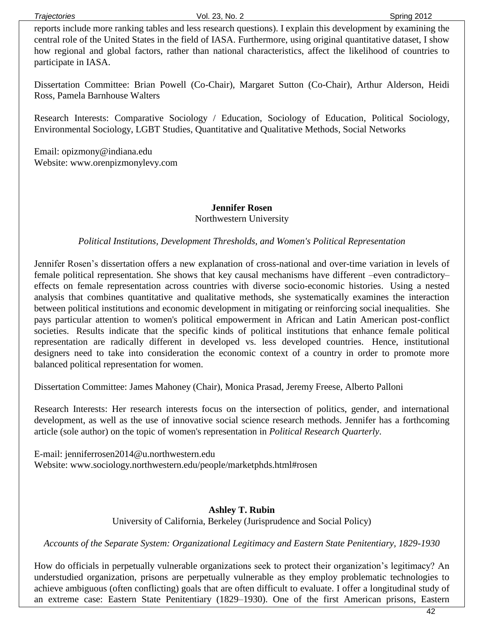reports include more ranking tables and less research questions). I explain this development by examining the central role of the United States in the field of IASA. Furthermore, using original quantitative dataset, I show how regional and global factors, rather than national characteristics, affect the likelihood of countries to participate in IASA.

Dissertation Committee: Brian Powell (Co-Chair), Margaret Sutton (Co-Chair), Arthur Alderson, Heidi Ross, Pamela Barnhouse Walters

Research Interests: Comparative Sociology / Education, Sociology of Education, Political Sociology, Environmental Sociology, LGBT Studies, Quantitative and Qualitative Methods, Social Networks

Email: opizmony@indiana.edu Website: www.orenpizmonylevy.com

#### **Jennifer Rosen** Northwestern University

#### *Political Institutions, Development Thresholds, and Women's Political Representation*

Jennifer Rosen's dissertation offers a new explanation of cross-national and over-time variation in levels of female political representation. She shows that key causal mechanisms have different –even contradictory– effects on female representation across countries with diverse socio-economic histories. Using a nested analysis that combines quantitative and qualitative methods, she systematically examines the interaction between political institutions and economic development in mitigating or reinforcing social inequalities. She pays particular attention to women's political empowerment in African and Latin American post-conflict societies. Results indicate that the specific kinds of political institutions that enhance female political representation are radically different in developed vs. less developed countries. Hence, institutional designers need to take into consideration the economic context of a country in order to promote more balanced political representation for women.

Dissertation Committee: James Mahoney (Chair), Monica Prasad, Jeremy Freese, Alberto Palloni

Research Interests: Her research interests focus on the intersection of politics, gender, and international development, as well as the use of innovative social science research methods. Jennifer has a forthcoming article (sole author) on the topic of women's representation in *Political Research Quarterly*.

E-mail: jenniferrosen2014@u.northwestern.edu Website: www.sociology.northwestern.edu/people/marketphds.html#rosen

#### **Ashley T. Rubin** University of California, Berkeley (Jurisprudence and Social Policy)

*Accounts of the Separate System: Organizational Legitimacy and Eastern State Penitentiary, 1829-1930*

How do officials in perpetually vulnerable organizations seek to protect their organization's legitimacy? An understudied organization, prisons are perpetually vulnerable as they employ problematic technologies to achieve ambiguous (often conflicting) goals that are often difficult to evaluate. I offer a longitudinal study of an extreme case: Eastern State Penitentiary (1829–1930). One of the first American prisons, Eastern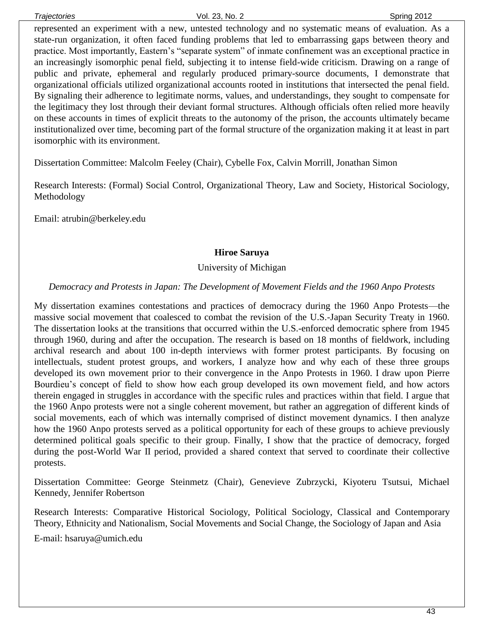represented an experiment with a new, untested technology and no systematic means of evaluation. As a state-run organization, it often faced funding problems that led to embarrassing gaps between theory and practice. Most importantly, Eastern's "separate system" of inmate confinement was an exceptional practice in an increasingly isomorphic penal field, subjecting it to intense field-wide criticism. Drawing on a range of public and private, ephemeral and regularly produced primary-source documents, I demonstrate that organizational officials utilized organizational accounts rooted in institutions that intersected the penal field. By signaling their adherence to legitimate norms, values, and understandings, they sought to compensate for the legitimacy they lost through their deviant formal structures. Although officials often relied more heavily on these accounts in times of explicit threats to the autonomy of the prison, the accounts ultimately became institutionalized over time, becoming part of the formal structure of the organization making it at least in part isomorphic with its environment.

Dissertation Committee: Malcolm Feeley (Chair), Cybelle Fox, Calvin Morrill, Jonathan Simon

Research Interests: (Formal) Social Control, Organizational Theory, Law and Society, Historical Sociology, Methodology

Email: atrubin@berkeley.edu

#### **Hiroe Saruya**

#### University of Michigan

#### *Democracy and Protests in Japan: The Development of Movement Fields and the 1960 Anpo Protests*

My dissertation examines contestations and practices of democracy during the 1960 Anpo Protests—the massive social movement that coalesced to combat the revision of the U.S.-Japan Security Treaty in 1960. The dissertation looks at the transitions that occurred within the U.S.-enforced democratic sphere from 1945 through 1960, during and after the occupation. The research is based on 18 months of fieldwork, including archival research and about 100 in-depth interviews with former protest participants. By focusing on intellectuals, student protest groups, and workers, I analyze how and why each of these three groups developed its own movement prior to their convergence in the Anpo Protests in 1960. I draw upon Pierre Bourdieu's concept of field to show how each group developed its own movement field, and how actors therein engaged in struggles in accordance with the specific rules and practices within that field. I argue that the 1960 Anpo protests were not a single coherent movement, but rather an aggregation of different kinds of social movements, each of which was internally comprised of distinct movement dynamics. I then analyze how the 1960 Anpo protests served as a political opportunity for each of these groups to achieve previously determined political goals specific to their group. Finally, I show that the practice of democracy, forged during the post-World War II period, provided a shared context that served to coordinate their collective protests.

Dissertation Committee: George Steinmetz (Chair), Genevieve Zubrzycki, Kiyoteru Tsutsui, Michael Kennedy, Jennifer Robertson

Research Interests: Comparative Historical Sociology, Political Sociology, Classical and Contemporary Theory, Ethnicity and Nationalism, Social Movements and Social Change, the Sociology of Japan and Asia

E-mail: hsaruya@umich.edu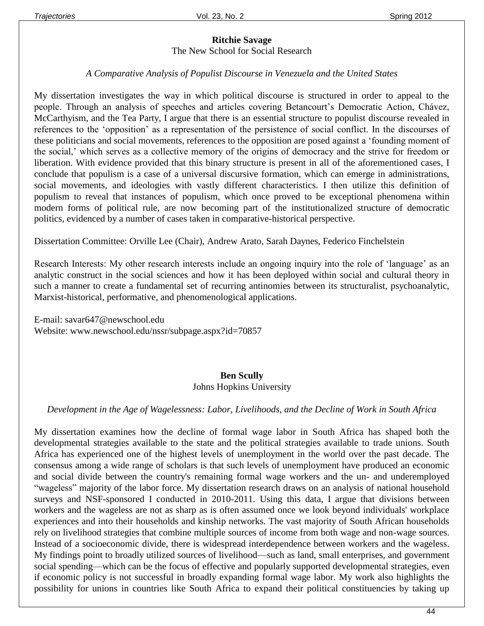#### **Ritchie Savage** The New School for Social Research

#### *A Comparative Analysis of Populist Discourse in Venezuela and the United States*

My dissertation investigates the way in which political discourse is structured in order to appeal to the people. Through an analysis of speeches and articles covering Betancourt's Democratic Action, Chávez, McCarthyism, and the Tea Party, I argue that there is an essential structure to populist discourse revealed in references to the 'opposition' as a representation of the persistence of social conflict. In the discourses of these politicians and social movements, references to the opposition are posed against a 'founding moment of the social,' which serves as a collective memory of the origins of democracy and the strive for freedom or liberation. With evidence provided that this binary structure is present in all of the aforementioned cases, I conclude that populism is a case of a universal discursive formation, which can emerge in administrations, social movements, and ideologies with vastly different characteristics. I then utilize this definition of populism to reveal that instances of populism, which once proved to be exceptional phenomena within modern forms of political rule, are now becoming part of the institutionalized structure of democratic politics, evidenced by a number of cases taken in comparative-historical perspective.

Dissertation Committee: Orville Lee (Chair), Andrew Arato, Sarah Daynes, Federico Finchelstein

Research Interests: My other research interests include an ongoing inquiry into the role of 'language' as an analytic construct in the social sciences and how it has been deployed within social and cultural theory in such a manner to create a fundamental set of recurring antinomies between its structuralist, psychoanalytic, Marxist-historical, performative, and phenomenological applications.

E-mail: savar647@newschool.edu Website: www.newschool.edu/nssr/subpage.aspx?id=70857

#### **Ben Scully** Johns Hopkins University

#### *Development in the Age of Wagelessness: Labor, Livelihoods, and the Decline of Work in South Africa*

My dissertation examines how the decline of formal wage labor in South Africa has shaped both the developmental strategies available to the state and the political strategies available to trade unions. South Africa has experienced one of the highest levels of unemployment in the world over the past decade. The consensus among a wide range of scholars is that such levels of unemployment have produced an economic and social divide between the country's remaining formal wage workers and the un- and underemployed "wageless" majority of the labor force. My dissertation research draws on an analysis of national household surveys and NSF-sponsored I conducted in 2010-2011. Using this data, I argue that divisions between workers and the wageless are not as sharp as is often assumed once we look beyond individuals' workplace experiences and into their households and kinship networks. The vast majority of South African households rely on livelihood strategies that combine multiple sources of income from both wage and non-wage sources. Instead of a socioeconomic divide, there is widespread interdependence between workers and the wageless. My findings point to broadly utilized sources of livelihood—such as land, small enterprises, and government social spending—which can be the focus of effective and popularly supported developmental strategies, even if economic policy is not successful in broadly expanding formal wage labor. My work also highlights the possibility for unions in countries like South Africa to expand their political constituencies by taking up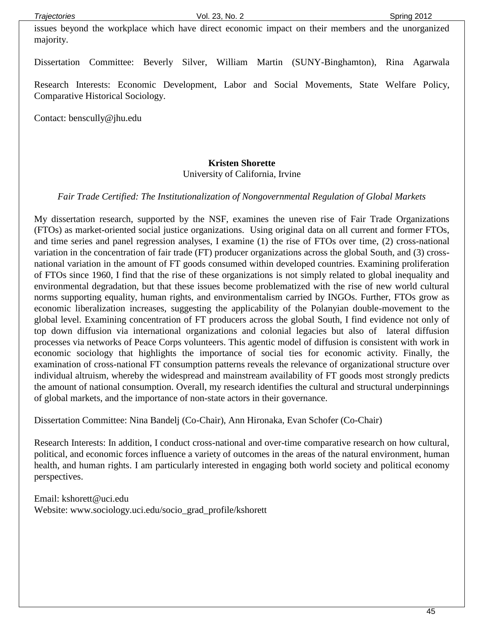issues beyond the workplace which have direct economic impact on their members and the unorganized majority.

Dissertation Committee: Beverly Silver, William Martin (SUNY-Binghamton), Rina Agarwala

Research Interests: Economic Development, Labor and Social Movements, State Welfare Policy, Comparative Historical Sociology.

Contact: benscully@jhu.edu

#### **Kristen Shorette**

University of California, Irvine

*Fair Trade Certified: The Institutionalization of Nongovernmental Regulation of Global Markets*

My dissertation research, supported by the NSF, examines the uneven rise of Fair Trade Organizations (FTOs) as market-oriented social justice organizations. Using original data on all current and former FTOs, and time series and panel regression analyses, I examine (1) the rise of FTOs over time, (2) cross-national variation in the concentration of fair trade (FT) producer organizations across the global South, and (3) crossnational variation in the amount of FT goods consumed within developed countries. Examining proliferation of FTOs since 1960, I find that the rise of these organizations is not simply related to global inequality and environmental degradation, but that these issues become problematized with the rise of new world cultural norms supporting equality, human rights, and environmentalism carried by INGOs. Further, FTOs grow as economic liberalization increases, suggesting the applicability of the Polanyian double-movement to the global level. Examining concentration of FT producers across the global South, I find evidence not only of top down diffusion via international organizations and colonial legacies but also of lateral diffusion processes via networks of Peace Corps volunteers. This agentic model of diffusion is consistent with work in economic sociology that highlights the importance of social ties for economic activity. Finally, the examination of cross-national FT consumption patterns reveals the relevance of organizational structure over individual altruism, whereby the widespread and mainstream availability of FT goods most strongly predicts the amount of national consumption. Overall, my research identifies the cultural and structural underpinnings of global markets, and the importance of non-state actors in their governance.

Dissertation Committee: Nina Bandelj (Co-Chair), Ann Hironaka, Evan Schofer (Co-Chair)

Research Interests: In addition, I conduct cross-national and over-time comparative research on how cultural, political, and economic forces influence a variety of outcomes in the areas of the natural environment, human health, and human rights. I am particularly interested in engaging both world society and political economy perspectives.

Email: kshorett@uci.edu Website: www.sociology.uci.edu/socio\_grad\_profile/kshorett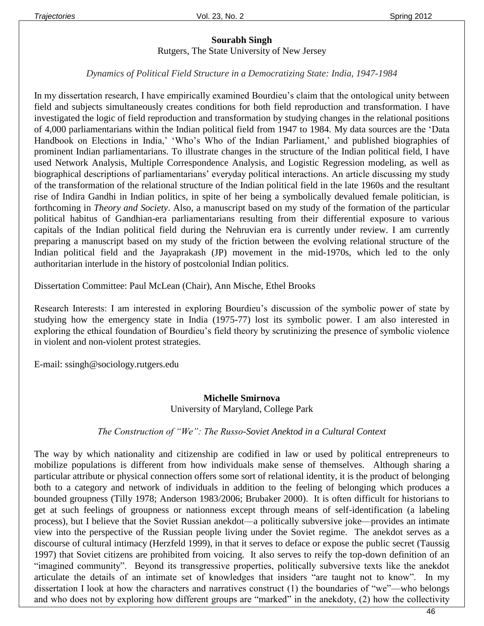## **Sourabh Singh**

Rutgers, The State University of New Jersey

#### *Dynamics of Political Field Structure in a Democratizing State: India, 1947-1984*

In my dissertation research, I have empirically examined Bourdieu's claim that the ontological unity between field and subjects simultaneously creates conditions for both field reproduction and transformation. I have investigated the logic of field reproduction and transformation by studying changes in the relational positions of 4,000 parliamentarians within the Indian political field from 1947 to 1984. My data sources are the 'Data Handbook on Elections in India,' 'Who's Who of the Indian Parliament,' and published biographies of prominent Indian parliamentarians. To illustrate changes in the structure of the Indian political field, I have used Network Analysis, Multiple Correspondence Analysis, and Logistic Regression modeling, as well as biographical descriptions of parliamentarians' everyday political interactions. An article discussing my study of the transformation of the relational structure of the Indian political field in the late 1960s and the resultant rise of Indira Gandhi in Indian politics, in spite of her being a symbolically devalued female politician, is forthcoming in *Theory and Society*. Also, a manuscript based on my study of the formation of the particular political habitus of Gandhian-era parliamentarians resulting from their differential exposure to various capitals of the Indian political field during the Nehruvian era is currently under review. I am currently preparing a manuscript based on my study of the friction between the evolving relational structure of the Indian political field and the Jayaprakash (JP) movement in the mid-1970s, which led to the only authoritarian interlude in the history of postcolonial Indian politics.

Dissertation Committee: Paul McLean (Chair), Ann Mische, Ethel Brooks

Research Interests: I am interested in exploring Bourdieu's discussion of the symbolic power of state by studying how the emergency state in India (1975-77) lost its symbolic power. I am also interested in exploring the ethical foundation of Bourdieu's field theory by scrutinizing the presence of symbolic violence in violent and non-violent protest strategies.

E-mail: ssingh@sociology.rutgers.edu

#### **Michelle Smirnova** University of Maryland, College Park

#### *The Construction of "We": The Russo-Soviet Anektod in a Cultural Context*

The way by which nationality and citizenship are codified in law or used by political entrepreneurs to mobilize populations is different from how individuals make sense of themselves. Although sharing a particular attribute or physical connection offers some sort of relational identity, it is the product of belonging both to a category and network of individuals in addition to the feeling of belonging which produces a bounded groupness (Tilly 1978; Anderson 1983/2006; Brubaker 2000). It is often difficult for historians to get at such feelings of groupness or nationness except through means of self-identification (a labeling process), but I believe that the Soviet Russian anekdot—a politically subversive joke—provides an intimate view into the perspective of the Russian people living under the Soviet regime. The anekdot serves as a discourse of cultural intimacy (Herzfeld 1999), in that it serves to deface or expose the public secret (Taussig 1997) that Soviet citizens are prohibited from voicing. It also serves to reify the top-down definition of an "imagined community". Beyond its transgressive properties, politically subversive texts like the anekdot articulate the details of an intimate set of knowledges that insiders "are taught not to know". In my dissertation I look at how the characters and narratives construct (1) the boundaries of "we"—who belongs and who does not by exploring how different groups are "marked" in the anekdoty, (2) how the collectivity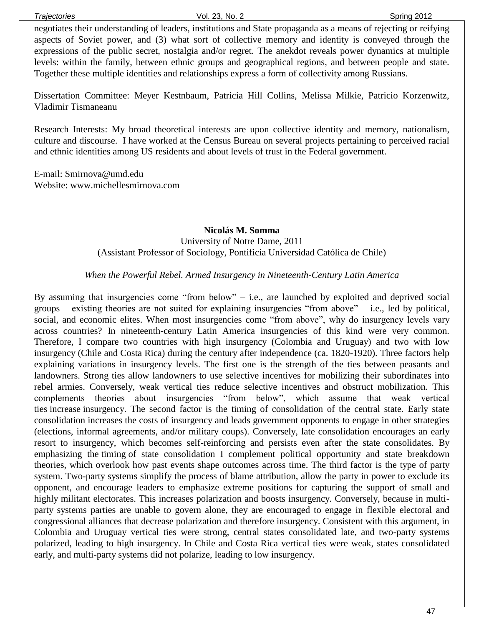negotiates their understanding of leaders, institutions and State propaganda as a means of rejecting or reifying aspects of Soviet power, and (3) what sort of collective memory and identity is conveyed through the expressions of the public secret, nostalgia and/or regret. The anekdot reveals power dynamics at multiple levels: within the family, between ethnic groups and geographical regions, and between people and state. Together these multiple identities and relationships express a form of collectivity among Russians.

Dissertation Committee: Meyer Kestnbaum, Patricia Hill Collins, Melissa Milkie, Patricio Korzenwitz, Vladimir Tismaneanu

Research Interests: My broad theoretical interests are upon collective identity and memory, nationalism, culture and discourse. I have worked at the Census Bureau on several projects pertaining to perceived racial and ethnic identities among US residents and about levels of trust in the Federal government.

E-mail: Smirnova@umd.edu Website: www.michellesmirnova.com

#### **Nicolás M. Somma**

University of Notre Dame, 2011 (Assistant Professor of Sociology, Pontificia Universidad Católica de Chile)

*When the Powerful Rebel. Armed Insurgency in Nineteenth-Century Latin America*

By assuming that insurgencies come "from below"  $-$  i.e., are launched by exploited and deprived social groups – existing theories are not suited for explaining insurgencies "from above" – i.e., led by political, social, and economic elites. When most insurgencies come "from above", why do insurgency levels vary across countries? In nineteenth-century Latin America insurgencies of this kind were very common. Therefore, I compare two countries with high insurgency (Colombia and Uruguay) and two with low insurgency (Chile and Costa Rica) during the century after independence (ca. 1820-1920). Three factors help explaining variations in insurgency levels. The first one is the strength of the ties between peasants and landowners. Strong ties allow landowners to use selective incentives for mobilizing their subordinates into rebel armies. Conversely, weak vertical ties reduce selective incentives and obstruct mobilization. This complements theories about insurgencies "from below", which assume that weak vertical ties increase insurgency. The second factor is the timing of consolidation of the central state. Early state consolidation increases the costs of insurgency and leads government opponents to engage in other strategies (elections, informal agreements, and/or military coups). Conversely, late consolidation encourages an early resort to insurgency, which becomes self-reinforcing and persists even after the state consolidates. By emphasizing the timing of state consolidation I complement political opportunity and state breakdown theories, which overlook how past events shape outcomes across time. The third factor is the type of party system. Two-party systems simplify the process of blame attribution, allow the party in power to exclude its opponent, and encourage leaders to emphasize extreme positions for capturing the support of small and highly militant electorates. This increases polarization and boosts insurgency. Conversely, because in multiparty systems parties are unable to govern alone, they are encouraged to engage in flexible electoral and congressional alliances that decrease polarization and therefore insurgency. Consistent with this argument, in Colombia and Uruguay vertical ties were strong, central states consolidated late, and two-party systems polarized, leading to high insurgency. In Chile and Costa Rica vertical ties were weak, states consolidated early, and multi-party systems did not polarize, leading to low insurgency.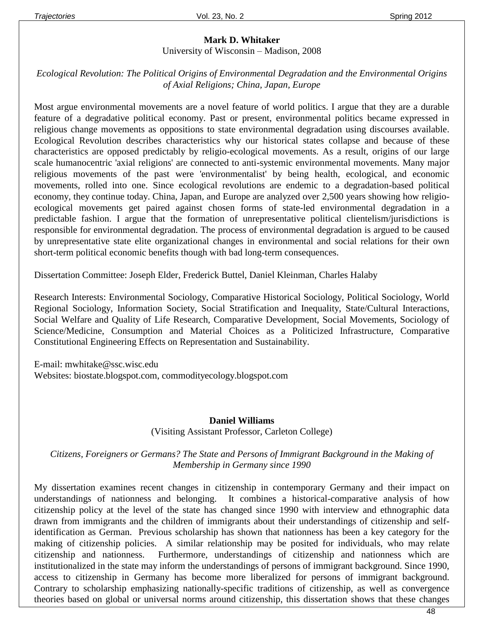#### **Mark D. Whitaker**

University of Wisconsin – Madison, 2008

#### *Ecological Revolution: The Political Origins of Environmental Degradation and the Environmental Origins of Axial Religions; China, Japan, Europe*

Most argue environmental movements are a novel feature of world politics. I argue that they are a durable feature of a degradative political economy. Past or present, environmental politics became expressed in religious change movements as oppositions to state environmental degradation using discourses available. Ecological Revolution describes characteristics why our historical states collapse and because of these characteristics are opposed predictably by religio-ecological movements. As a result, origins of our large scale humanocentric 'axial religions' are connected to anti-systemic environmental movements. Many major religious movements of the past were 'environmentalist' by being health, ecological, and economic movements, rolled into one. Since ecological revolutions are endemic to a degradation-based political economy, they continue today. China, Japan, and Europe are analyzed over 2,500 years showing how religioecological movements get paired against chosen forms of state-led environmental degradation in a predictable fashion. I argue that the formation of unrepresentative political clientelism/jurisdictions is responsible for environmental degradation. The process of environmental degradation is argued to be caused by unrepresentative state elite organizational changes in environmental and social relations for their own short-term political economic benefits though with bad long-term consequences.

Dissertation Committee: Joseph Elder, Frederick Buttel, Daniel Kleinman, Charles Halaby

Research Interests: Environmental Sociology, Comparative Historical Sociology, Political Sociology, World Regional Sociology, Information Society, Social Stratification and Inequality, State/Cultural Interactions, Social Welfare and Quality of Life Research, Comparative Development, Social Movements, Sociology of Science/Medicine, Consumption and Material Choices as a Politicized Infrastructure, Comparative Constitutional Engineering Effects on Representation and Sustainability.

E-mail: [mwhitake@ssc.wisc.edu](mailto:mwhitake@ssc.wisc.edu) Websites: biostate.blogspot.com, commodityecology.blogspot.com

#### **Daniel Williams**

(Visiting Assistant Professor, Carleton College)

#### *Citizens, Foreigners or Germans? The State and Persons of Immigrant Background in the Making of Membership in Germany since 1990*

My dissertation examines recent changes in citizenship in contemporary Germany and their impact on understandings of nationness and belonging. It combines a historical-comparative analysis of how citizenship policy at the level of the state has changed since 1990 with interview and ethnographic data drawn from immigrants and the children of immigrants about their understandings of citizenship and selfidentification as German. Previous scholarship has shown that nationness has been a key category for the making of citizenship policies. A similar relationship may be posited for individuals, who may relate citizenship and nationness. Furthermore, understandings of citizenship and nationness which are institutionalized in the state may inform the understandings of persons of immigrant background. Since 1990, access to citizenship in Germany has become more liberalized for persons of immigrant background. Contrary to scholarship emphasizing nationally-specific traditions of citizenship, as well as convergence theories based on global or universal norms around citizenship, this dissertation shows that these changes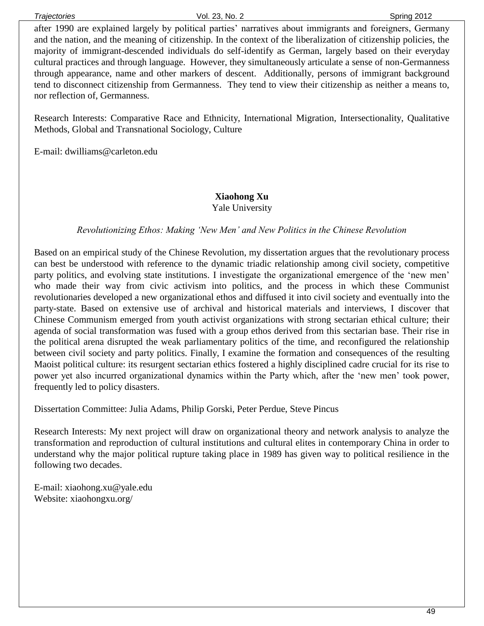after 1990 are explained largely by political parties' narratives about immigrants and foreigners, Germany and the nation, and the meaning of citizenship. In the context of the liberalization of citizenship policies, the majority of immigrant-descended individuals do self-identify as German, largely based on their everyday cultural practices and through language. However, they simultaneously articulate a sense of non-Germanness through appearance, name and other markers of descent. Additionally, persons of immigrant background tend to disconnect citizenship from Germanness. They tend to view their citizenship as neither a means to, nor reflection of, Germanness.

Research Interests: Comparative Race and Ethnicity, International Migration, Intersectionality, Qualitative Methods, Global and Transnational Sociology, Culture

E-mail: dwilliams@carleton.edu

#### **Xiaohong Xu** Yale University

#### *Revolutionizing Ethos: Making 'New Men' and New Politics in the Chinese Revolution*

Based on an empirical study of the Chinese Revolution, my dissertation argues that the revolutionary process can best be understood with reference to the dynamic triadic relationship among civil society, competitive party politics, and evolving state institutions. I investigate the organizational emergence of the 'new men' who made their way from civic activism into politics, and the process in which these Communist revolutionaries developed a new organizational ethos and diffused it into civil society and eventually into the party-state. Based on extensive use of archival and historical materials and interviews, I discover that Chinese Communism emerged from youth activist organizations with strong sectarian ethical culture; their agenda of social transformation was fused with a group ethos derived from this sectarian base. Their rise in the political arena disrupted the weak parliamentary politics of the time, and reconfigured the relationship between civil society and party politics. Finally, I examine the formation and consequences of the resulting Maoist political culture: its resurgent sectarian ethics fostered a highly disciplined cadre crucial for its rise to power yet also incurred organizational dynamics within the Party which, after the 'new men' took power, frequently led to policy disasters.

Dissertation Committee: Julia Adams, Philip Gorski, Peter Perdue, Steve Pincus

Research Interests: My next project will draw on organizational theory and network analysis to analyze the transformation and reproduction of cultural institutions and cultural elites in contemporary China in order to understand why the major political rupture taking place in 1989 has given way to political resilience in the following two decades.

E-mail: xiaohong.xu@yale.edu Website: xiaohongxu.org/